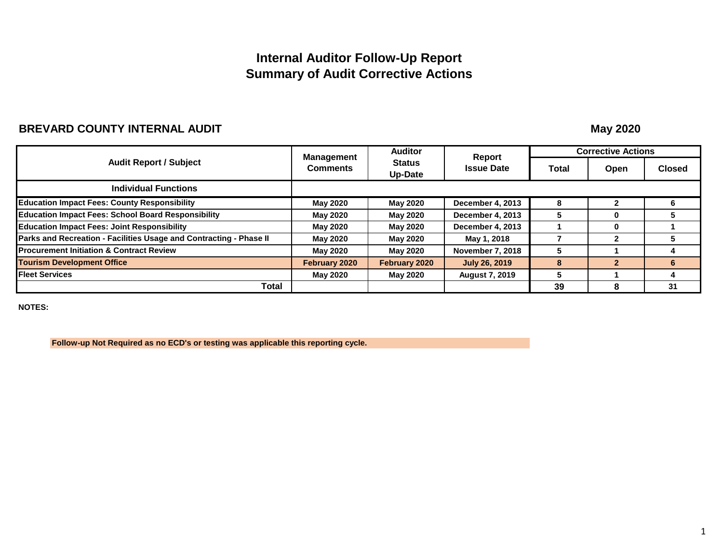# **Internal Auditor Follow-Up Report Summary of Audit Corrective Actions**

#### **BREVARD COUNTY INTERNAL AUDIT**

**May 2020**

|                                                                    | <b>Management</b> | <b>Auditor</b>           | Report                  |       | <b>Corrective Actions</b> |               |
|--------------------------------------------------------------------|-------------------|--------------------------|-------------------------|-------|---------------------------|---------------|
| <b>Audit Report / Subject</b>                                      | <b>Comments</b>   | <b>Status</b><br>Up-Date | <b>Issue Date</b>       | Total | Open                      | <b>Closed</b> |
| <b>Individual Functions</b>                                        |                   |                          |                         |       |                           |               |
| <b>Education Impact Fees: County Responsibility</b>                | <b>May 2020</b>   | <b>May 2020</b>          | December 4, 2013        | 8     | 2                         |               |
| <b>Education Impact Fees: School Board Responsibility</b>          | <b>May 2020</b>   | <b>May 2020</b>          | December 4, 2013        | 5     | $\bf{0}$                  |               |
| <b>Education Impact Fees: Joint Responsibility</b>                 | <b>May 2020</b>   | <b>May 2020</b>          | December 4, 2013        |       | $\mathbf 0$               |               |
| Parks and Recreation - Facilities Usage and Contracting - Phase II | <b>May 2020</b>   | <b>May 2020</b>          | May 1, 2018             |       | $\mathbf{2}$              |               |
| <b>Procurement Initiation &amp; Contract Review</b>                | <b>May 2020</b>   | <b>May 2020</b>          | <b>November 7, 2018</b> | 5     |                           |               |
| <b>Tourism Development Office</b>                                  | February 2020     | February 2020            | <b>July 26, 2019</b>    | 8     | $\mathbf{2}$              | 6             |
| <b>Fleet Services</b>                                              | <b>May 2020</b>   | <b>May 2020</b>          | <b>August 7, 2019</b>   | 5     |                           |               |
| Total                                                              |                   |                          |                         | 39    | 8                         | 31            |

**NOTES:**

**Follow-up Not Required as no ECD's or testing was applicable this reporting cycle.**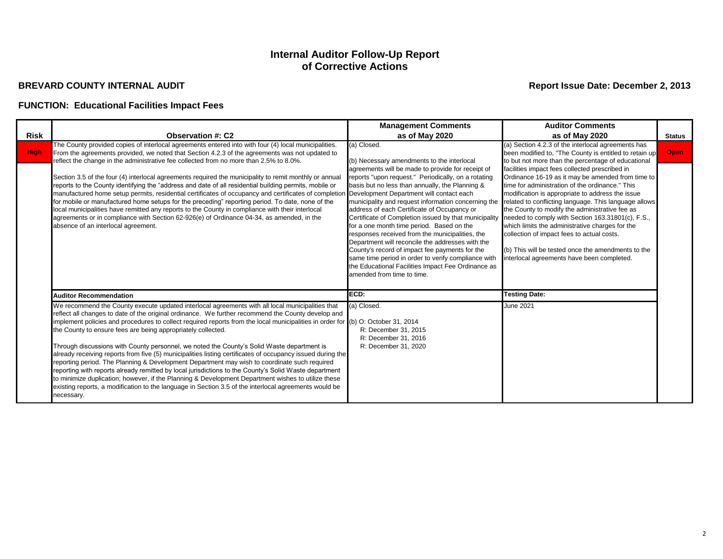### **BREVARD COUNTY INTERNAL AUDIT**

# **Report Issue Date: December 2, 2013**

|             |                                                                                                                                                                                                                                                                                                                                                                                                                                                                                                                                                                                                                                                                                                                                                                                                                                                                                                                                                                                                                                                              | <b>Management Comments</b>                                                                                                                                                                                                                                                                                                                                                                                                                                                                                                                                                                                                                                                                                              | <b>Auditor Comments</b>                                                                                                                                                                                                                                                                                                                                                                                                                                                                                                                                                         |               |
|-------------|--------------------------------------------------------------------------------------------------------------------------------------------------------------------------------------------------------------------------------------------------------------------------------------------------------------------------------------------------------------------------------------------------------------------------------------------------------------------------------------------------------------------------------------------------------------------------------------------------------------------------------------------------------------------------------------------------------------------------------------------------------------------------------------------------------------------------------------------------------------------------------------------------------------------------------------------------------------------------------------------------------------------------------------------------------------|-------------------------------------------------------------------------------------------------------------------------------------------------------------------------------------------------------------------------------------------------------------------------------------------------------------------------------------------------------------------------------------------------------------------------------------------------------------------------------------------------------------------------------------------------------------------------------------------------------------------------------------------------------------------------------------------------------------------------|---------------------------------------------------------------------------------------------------------------------------------------------------------------------------------------------------------------------------------------------------------------------------------------------------------------------------------------------------------------------------------------------------------------------------------------------------------------------------------------------------------------------------------------------------------------------------------|---------------|
| <b>Risk</b> | <b>Observation #: C2</b>                                                                                                                                                                                                                                                                                                                                                                                                                                                                                                                                                                                                                                                                                                                                                                                                                                                                                                                                                                                                                                     | as of May 2020                                                                                                                                                                                                                                                                                                                                                                                                                                                                                                                                                                                                                                                                                                          | as of May 2020                                                                                                                                                                                                                                                                                                                                                                                                                                                                                                                                                                  | <b>Status</b> |
| <b>High</b> | The County provided copies of interlocal agreements entered into with four (4) local municipalities.<br>From the agreements provided, we noted that Section 4.2.3 of the agreements was not updated to<br>reflect the change in the administrative fee collected from no more than 2.5% to 8.0%.                                                                                                                                                                                                                                                                                                                                                                                                                                                                                                                                                                                                                                                                                                                                                             | (a) Closed.<br>(b) Necessary amendments to the interlocal                                                                                                                                                                                                                                                                                                                                                                                                                                                                                                                                                                                                                                                               | (a) Section 4.2.3 of the interlocal agreements has<br>been modified to, "The County is entitled to retain up<br>to but not more than the percentage of educational                                                                                                                                                                                                                                                                                                                                                                                                              | <b>Open</b>   |
|             | Section 3.5 of the four (4) interlocal agreements required the municipality to remit monthly or annual<br>reports to the County identifying the "address and date of all residential building permits, mobile or<br>manufactured home setup permits, residential certificates of occupancy and certificates of completion<br>for mobile or manufactured home setups for the preceding" reporting period. To date, none of the<br>local municipalities have remitted any reports to the County in compliance with their interlocal<br>agreements or in compliance with Section 62-926(e) of Ordinance 04-34, as amended, in the<br>absence of an interlocal agreement.                                                                                                                                                                                                                                                                                                                                                                                        | agreements will be made to provide for receipt of<br>reports "upon request." Periodically, on a rotating<br>basis but no less than annually, the Planning &<br>Development Department will contact each<br>municipality and request information concerning the<br>address of each Certificate of Occupancy or<br>Certificate of Completion issued by that municipality<br>for a one month time period. Based on the<br>responses received from the municipalities, the<br>Department will reconcile the addresses with the<br>County's record of impact fee payments for the<br>same time period in order to verify compliance with<br>the Educational Facilities Impact Fee Ordinance as<br>amended from time to time. | facilities impact fees collected prescribed in<br>Ordinance 16-19 as it may be amended from time to<br>time for administration of the ordinance." This<br>modification is appropriate to address the issue<br>related to conflicting language. This language allows<br>the County to modify the administrative fee as<br>needed to comply with Section 163.31801(c), F.S.,<br>which limits the administrative charges for the<br>collection of impact fees to actual costs.<br>(b) This will be tested once the amendments to the<br>interlocal agreements have been completed. |               |
|             | <b>Auditor Recommendation</b>                                                                                                                                                                                                                                                                                                                                                                                                                                                                                                                                                                                                                                                                                                                                                                                                                                                                                                                                                                                                                                | ECD:                                                                                                                                                                                                                                                                                                                                                                                                                                                                                                                                                                                                                                                                                                                    | <b>Testing Date:</b>                                                                                                                                                                                                                                                                                                                                                                                                                                                                                                                                                            |               |
|             | We recommend the County execute updated interlocal agreements with all local municipalities that<br>reflect all changes to date of the original ordinance. We further recommend the County develop and<br>implement policies and procedures to collect required reports from the local municipalities in order for (b) O: October 31, 2014<br>the County to ensure fees are being appropriately collected.<br>Through discussions with County personnel, we noted the County's Solid Waste department is<br>already receiving reports from five (5) municipalities listing certificates of occupancy issued during the<br>reporting period. The Planning & Development Department may wish to coordinate such required<br>reporting with reports already remitted by local jurisdictions to the County's Solid Waste department<br>to minimize duplication; however, if the Planning & Development Department wishes to utilize these<br>existing reports, a modification to the language in Section 3.5 of the interlocal agreements would be<br>necessary. | (a) Closed.<br>R: December 31, 2015<br>R: December 31, 2016<br>R: December 31, 2020                                                                                                                                                                                                                                                                                                                                                                                                                                                                                                                                                                                                                                     | <b>June 2021</b>                                                                                                                                                                                                                                                                                                                                                                                                                                                                                                                                                                |               |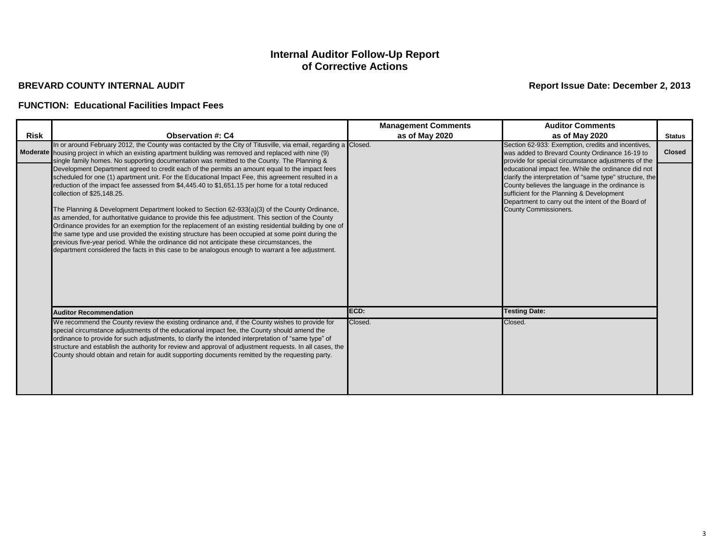### **BREVARD COUNTY INTERNAL AUDIT**

# **Report Issue Date: December 2, 2013**

|             |                                                                                                                                                                                                                                                                                                                                                                                                                                                                                                                                                                                                                                                                                                                                                                                                                                                                                                                                                            | <b>Management Comments</b> | <b>Auditor Comments</b>                                                                                                                                                                                                                                                                                |               |
|-------------|------------------------------------------------------------------------------------------------------------------------------------------------------------------------------------------------------------------------------------------------------------------------------------------------------------------------------------------------------------------------------------------------------------------------------------------------------------------------------------------------------------------------------------------------------------------------------------------------------------------------------------------------------------------------------------------------------------------------------------------------------------------------------------------------------------------------------------------------------------------------------------------------------------------------------------------------------------|----------------------------|--------------------------------------------------------------------------------------------------------------------------------------------------------------------------------------------------------------------------------------------------------------------------------------------------------|---------------|
| <b>Risk</b> | <b>Observation #: C4</b>                                                                                                                                                                                                                                                                                                                                                                                                                                                                                                                                                                                                                                                                                                                                                                                                                                                                                                                                   | as of May 2020             | as of May 2020                                                                                                                                                                                                                                                                                         | <b>Status</b> |
|             | In or around February 2012, the County was contacted by the City of Titusville, via email, regarding a Closed.<br>Moderate housing project in which an existing apartment building was removed and replaced with nine (9)<br>single family homes. No supporting documentation was remitted to the County. The Planning &                                                                                                                                                                                                                                                                                                                                                                                                                                                                                                                                                                                                                                   |                            | Section 62-933: Exemption, credits and incentives,<br>was added to Brevard County Ordinance 16-19 to<br>provide for special circumstance adjustments of the                                                                                                                                            | <b>Closed</b> |
|             | Development Department agreed to credit each of the permits an amount equal to the impact fees<br>scheduled for one (1) apartment unit. For the Educational Impact Fee, this agreement resulted in a<br>reduction of the impact fee assessed from \$4,445.40 to \$1,651.15 per home for a total reduced<br>collection of \$25,148.25.<br>The Planning & Development Department looked to Section 62-933(a)(3) of the County Ordinance,<br>as amended, for authoritative guidance to provide this fee adjustment. This section of the County<br>Ordinance provides for an exemption for the replacement of an existing residential building by one of<br>the same type and use provided the existing structure has been occupied at some point during the<br>previous five-year period. While the ordinance did not anticipate these circumstances, the<br>department considered the facts in this case to be analogous enough to warrant a fee adjustment. |                            | educational impact fee. While the ordinance did not<br>clarify the interpretation of "same type" structure, the<br>County believes the language in the ordinance is<br>sufficient for the Planning & Development<br>Department to carry out the intent of the Board of<br><b>County Commissioners.</b> |               |
|             | <b>Auditor Recommendation</b>                                                                                                                                                                                                                                                                                                                                                                                                                                                                                                                                                                                                                                                                                                                                                                                                                                                                                                                              | ECD:                       | <b>Testing Date:</b>                                                                                                                                                                                                                                                                                   |               |
|             | We recommend the County review the existing ordinance and, if the County wishes to provide for<br>special circumstance adjustments of the educational impact fee, the County should amend the<br>ordinance to provide for such adjustments, to clarify the intended interpretation of "same type" of<br>structure and establish the authority for review and approval of adjustment requests. In all cases, the<br>County should obtain and retain for audit supporting documents remitted by the requesting party.                                                                                                                                                                                                                                                                                                                                                                                                                                        | Closed.                    | Closed.                                                                                                                                                                                                                                                                                                |               |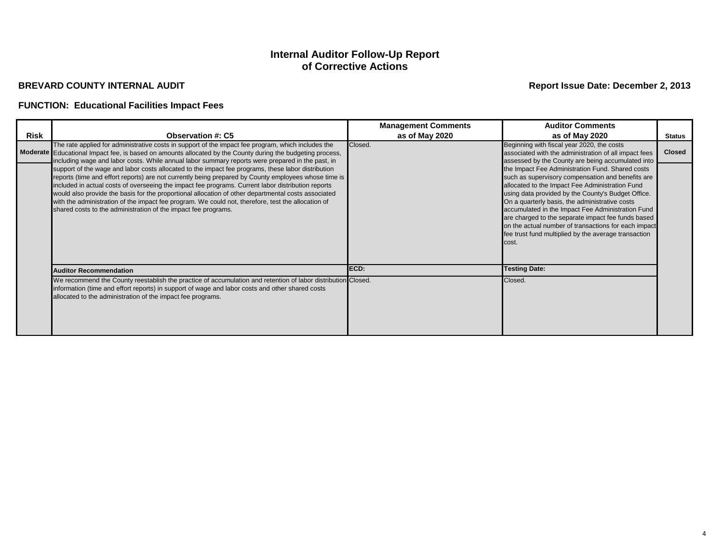### **BREVARD COUNTY INTERNAL AUDIT**

# **Report Issue Date: December 2, 2013**

|             |                                                                                                                                                                                                                                                                                                                                                                                                                                                                                                                                                                                                 | <b>Management Comments</b> | <b>Auditor Comments</b>                                                                                                                                                                                                                                                                                                                                                                                                                                                                                     |               |
|-------------|-------------------------------------------------------------------------------------------------------------------------------------------------------------------------------------------------------------------------------------------------------------------------------------------------------------------------------------------------------------------------------------------------------------------------------------------------------------------------------------------------------------------------------------------------------------------------------------------------|----------------------------|-------------------------------------------------------------------------------------------------------------------------------------------------------------------------------------------------------------------------------------------------------------------------------------------------------------------------------------------------------------------------------------------------------------------------------------------------------------------------------------------------------------|---------------|
| <b>Risk</b> | <b>Observation #: C5</b>                                                                                                                                                                                                                                                                                                                                                                                                                                                                                                                                                                        | as of May 2020             | as of May 2020                                                                                                                                                                                                                                                                                                                                                                                                                                                                                              | <b>Status</b> |
|             | The rate applied for administrative costs in support of the impact fee program, which includes the<br>Moderate Educational Impact fee, is based on amounts allocated by the County during the budgeting process,<br>including wage and labor costs. While annual labor summary reports were prepared in the past, in                                                                                                                                                                                                                                                                            | Closed.                    | Beginning with fiscal year 2020, the costs<br>associated with the administration of all impact fees<br>assessed by the County are being accumulated into                                                                                                                                                                                                                                                                                                                                                    | <b>Closed</b> |
|             | support of the wage and labor costs allocated to the impact fee programs, these labor distribution<br>reports (time and effort reports) are not currently being prepared by County employees whose time is<br>included in actual costs of overseeing the impact fee programs. Current labor distribution reports<br>would also provide the basis for the proportional allocation of other departmental costs associated<br>with the administration of the impact fee program. We could not, therefore, test the allocation of<br>shared costs to the administration of the impact fee programs. |                            | the Impact Fee Administration Fund. Shared costs<br>such as supervisory compensation and benefits are<br>allocated to the Impact Fee Administration Fund<br>using data provided by the County's Budget Office.<br>On a quarterly basis, the administrative costs<br>accumulated in the Impact Fee Administration Fund<br>are charged to the separate impact fee funds based<br>on the actual number of transactions for each impact<br>fee trust fund multiplied by the average transaction<br><b>COSt.</b> |               |
|             | <b>Auditor Recommendation</b>                                                                                                                                                                                                                                                                                                                                                                                                                                                                                                                                                                   | ECD:                       | <b>Testing Date:</b>                                                                                                                                                                                                                                                                                                                                                                                                                                                                                        |               |
|             | We recommend the County reestablish the practice of accumulation and retention of labor distribution Closed.<br>information (time and effort reports) in support of wage and labor costs and other shared costs<br>allocated to the administration of the impact fee programs.                                                                                                                                                                                                                                                                                                                  |                            | Closed.                                                                                                                                                                                                                                                                                                                                                                                                                                                                                                     |               |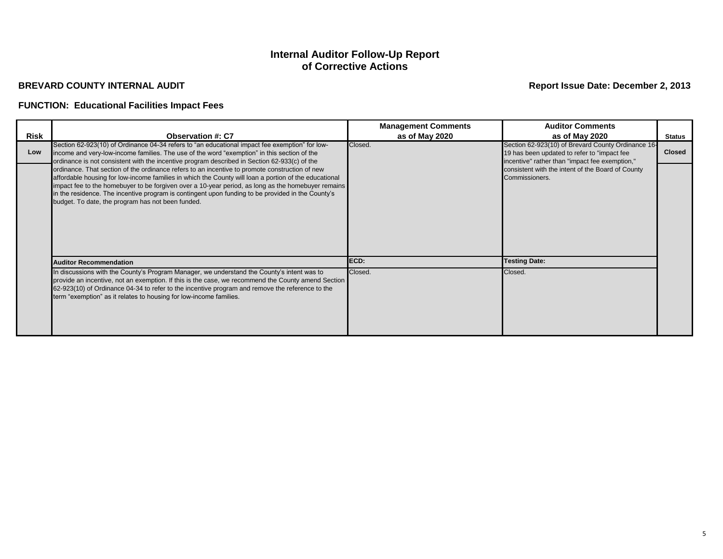### **BREVARD COUNTY INTERNAL AUDIT**

# **Report Issue Date: December 2, 2013**

|             |                                                                                                                                                                                                                                                                                                                                                                                                                                                                         | <b>Management Comments</b> | <b>Auditor Comments</b>                                                                                                                                               |                                |
|-------------|-------------------------------------------------------------------------------------------------------------------------------------------------------------------------------------------------------------------------------------------------------------------------------------------------------------------------------------------------------------------------------------------------------------------------------------------------------------------------|----------------------------|-----------------------------------------------------------------------------------------------------------------------------------------------------------------------|--------------------------------|
| Risk<br>Low | <b>Observation #: C7</b><br>Section 62-923(10) of Ordinance 04-34 refers to "an educational impact fee exemption" for low-<br>income and very-low-income families. The use of the word "exemption" in this section of the<br>ordinance is not consistent with the incentive program described in Section 62-933(c) of the                                                                                                                                               | as of May 2020<br>Closed.  | as of May 2020<br>Section 62-923(10) of Brevard County Ordinance 16-<br>19 has been updated to refer to "impact fee<br>incentive" rather than "impact fee exemption," | <b>Status</b><br><b>Closed</b> |
|             | ordinance. That section of the ordinance refers to an incentive to promote construction of new<br>affordable housing for low-income families in which the County will loan a portion of the educational<br>impact fee to the homebuyer to be forgiven over a 10-year period, as long as the homebuyer remains<br>in the residence. The incentive program is contingent upon funding to be provided in the County's<br>budget. To date, the program has not been funded. |                            | consistent with the intent of the Board of County<br>Commissioners.                                                                                                   |                                |
|             | <b>Auditor Recommendation</b>                                                                                                                                                                                                                                                                                                                                                                                                                                           | ECD:                       | <b>Testing Date:</b>                                                                                                                                                  |                                |
|             | In discussions with the County's Program Manager, we understand the County's intent was to<br>provide an incentive, not an exemption. If this is the case, we recommend the County amend Section<br>62-923(10) of Ordinance 04-34 to refer to the incentive program and remove the reference to the<br>term "exemption" as it relates to housing for low-income families.                                                                                               | Closed.                    | Closed.                                                                                                                                                               |                                |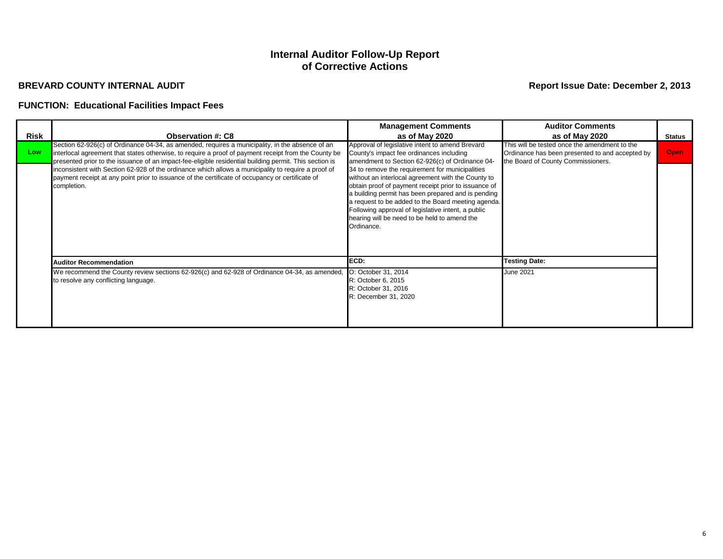### **BREVARD COUNTY INTERNAL AUDIT**

**Report Issue Date: December 2, 2013**

| <b>Risk</b> | <b>Observation #: C8</b>                                                                                                                                                                                                                                                                                                                                                                                                 | <b>Management Comments</b><br>as of May 2020                                                                                                                                                                                                                                                                                               | <b>Auditor Comments</b><br>as of May 2020                                                                                              | <b>Status</b> |
|-------------|--------------------------------------------------------------------------------------------------------------------------------------------------------------------------------------------------------------------------------------------------------------------------------------------------------------------------------------------------------------------------------------------------------------------------|--------------------------------------------------------------------------------------------------------------------------------------------------------------------------------------------------------------------------------------------------------------------------------------------------------------------------------------------|----------------------------------------------------------------------------------------------------------------------------------------|---------------|
| <b>Low</b>  | Section 62-926(c) of Ordinance 04-34, as amended, requires a municipality, in the absence of an<br>interlocal agreement that states otherwise, to require a proof of payment receipt from the County be<br>presented prior to the issuance of an impact-fee-eligible residential building permit. This section is<br>inconsistent with Section 62-928 of the ordinance which allows a municipality to require a proof of | Approval of legislative intent to amend Brevard<br>County's impact fee ordinances including<br>amendment to Section 62-926(c) of Ordinance 04-<br>34 to remove the requirement for municipalities                                                                                                                                          | This will be tested once the amendment to the<br>Ordinance has been presented to and accepted by<br>the Board of County Commissioners. | <b>Open</b>   |
|             | payment receipt at any point prior to issuance of the certificate of occupancy or certificate of<br>completion.                                                                                                                                                                                                                                                                                                          | without an interlocal agreement with the County to<br>obtain proof of payment receipt prior to issuance of<br>a building permit has been prepared and is pending<br>a request to be added to the Board meeting agenda.<br>Following approval of legislative intent, a public<br>hearing will be need to be held to amend the<br>Ordinance. |                                                                                                                                        |               |
|             | <b>Auditor Recommendation</b>                                                                                                                                                                                                                                                                                                                                                                                            | ECD:                                                                                                                                                                                                                                                                                                                                       | <b>Testing Date:</b>                                                                                                                   |               |
|             | We recommend the County review sections 62-926(c) and 62-928 of Ordinance 04-34, as amended,<br>to resolve any conflicting language.                                                                                                                                                                                                                                                                                     | O: October 31, 2014<br>R: October 6, 2015<br>R: October 31, 2016<br>R: December 31, 2020                                                                                                                                                                                                                                                   | <b>June 2021</b>                                                                                                                       |               |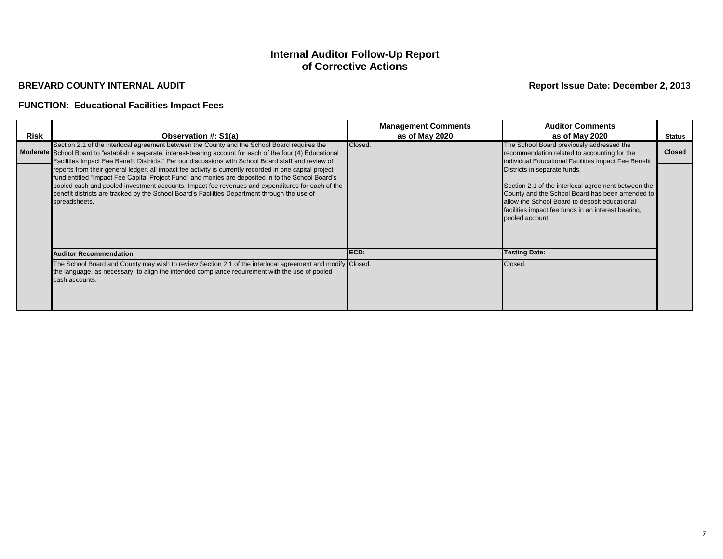### **BREVARD COUNTY INTERNAL AUDIT**

# **Report Issue Date: December 2, 2013**

| Risk | Observation #: S1(a)                                                                                                                                                                                                                                                                                                                                                                                                                                                                                                                                                                                                                                                                                                                                      | <b>Management Comments</b><br>as of May 2020 | <b>Auditor Comments</b><br>as of May 2020                                                                                                                                                                                                                                                                                                                                                                              | <b>Status</b> |
|------|-----------------------------------------------------------------------------------------------------------------------------------------------------------------------------------------------------------------------------------------------------------------------------------------------------------------------------------------------------------------------------------------------------------------------------------------------------------------------------------------------------------------------------------------------------------------------------------------------------------------------------------------------------------------------------------------------------------------------------------------------------------|----------------------------------------------|------------------------------------------------------------------------------------------------------------------------------------------------------------------------------------------------------------------------------------------------------------------------------------------------------------------------------------------------------------------------------------------------------------------------|---------------|
|      | Section 2.1 of the interlocal agreement between the County and the School Board requires the<br>Moderate School Board to "establish a separate, interest-bearing account for each of the four (4) Educational<br>Facilities Impact Fee Benefit Districts." Per our discussions with School Board staff and review of<br>reports from their general ledger, all impact fee activity is currently recorded in one capital project<br>fund entitled "Impact Fee Capital Project Fund" and monies are deposited in to the School Board's<br>pooled cash and pooled investment accounts. Impact fee revenues and expenditures for each of the<br>benefit districts are tracked by the School Board's Facilities Department through the use of<br>spreadsheets. | Closed.                                      | The School Board previously addressed the<br>recommendation related to accounting for the<br>individual Educational Facilities Impact Fee Benefit<br>Districts in separate funds.<br>Section 2.1 of the interlocal agreement between the<br>County and the School Board has been amended to<br>allow the School Board to deposit educational<br>facilities impact fee funds in an interest bearing,<br>pooled account. | <b>Closed</b> |
|      | <b>Auditor Recommendation</b>                                                                                                                                                                                                                                                                                                                                                                                                                                                                                                                                                                                                                                                                                                                             | ECD:                                         | <b>Testing Date:</b>                                                                                                                                                                                                                                                                                                                                                                                                   |               |
|      | The School Board and County may wish to review Section 2.1 of the interlocal agreement and modify Closed.<br>the language, as necessary, to align the intended compliance requirement with the use of pooled<br>cash accounts.                                                                                                                                                                                                                                                                                                                                                                                                                                                                                                                            |                                              | Closed.                                                                                                                                                                                                                                                                                                                                                                                                                |               |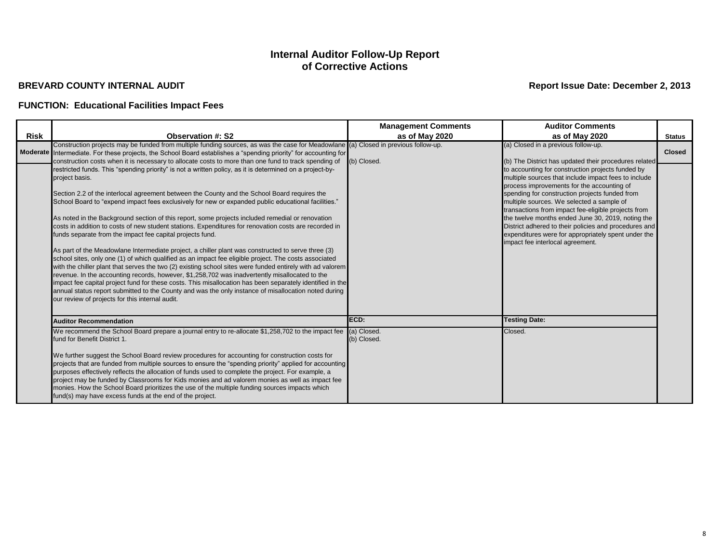### **BREVARD COUNTY INTERNAL AUDIT**

# **Report Issue Date: December 2, 2013**

|             |                                                                                                                                                                                                                                                                                                                                                                                                                                                                                                                                                                                                                                                                                                                                                                                                                                                                                                                                                                                                                                                                                                                                                                                                                                                                                                                   | <b>Management Comments</b> | <b>Auditor Comments</b>                                                                                                                                                                                                                                                                                                                                                                                                                                                                                                |               |
|-------------|-------------------------------------------------------------------------------------------------------------------------------------------------------------------------------------------------------------------------------------------------------------------------------------------------------------------------------------------------------------------------------------------------------------------------------------------------------------------------------------------------------------------------------------------------------------------------------------------------------------------------------------------------------------------------------------------------------------------------------------------------------------------------------------------------------------------------------------------------------------------------------------------------------------------------------------------------------------------------------------------------------------------------------------------------------------------------------------------------------------------------------------------------------------------------------------------------------------------------------------------------------------------------------------------------------------------|----------------------------|------------------------------------------------------------------------------------------------------------------------------------------------------------------------------------------------------------------------------------------------------------------------------------------------------------------------------------------------------------------------------------------------------------------------------------------------------------------------------------------------------------------------|---------------|
| <b>Risk</b> | <b>Observation #: S2</b>                                                                                                                                                                                                                                                                                                                                                                                                                                                                                                                                                                                                                                                                                                                                                                                                                                                                                                                                                                                                                                                                                                                                                                                                                                                                                          | as of May 2020             | as of May 2020                                                                                                                                                                                                                                                                                                                                                                                                                                                                                                         | <b>Status</b> |
|             | Construction projects may be funded from multiple funding sources, as was the case for Meadowlane (a) Closed in previous follow-up.<br>Moderate Intermediate. For these projects, the School Board establishes a "spending priority" for accounting for<br>construction costs when it is necessary to allocate costs to more than one fund to track spending of                                                                                                                                                                                                                                                                                                                                                                                                                                                                                                                                                                                                                                                                                                                                                                                                                                                                                                                                                   | (b) Closed.                | (a) Closed in a previous follow-up.<br>(b) The District has updated their procedures related                                                                                                                                                                                                                                                                                                                                                                                                                           | <b>Closed</b> |
|             | restricted funds. This "spending priority" is not a written policy, as it is determined on a project-by-<br>project basis.<br>Section 2.2 of the interlocal agreement between the County and the School Board requires the<br>School Board to "expend impact fees exclusively for new or expanded public educational facilities."<br>As noted in the Background section of this report, some projects included remedial or renovation<br>costs in addition to costs of new student stations. Expenditures for renovation costs are recorded in<br>funds separate from the impact fee capital projects fund.<br>As part of the Meadowlane Intermediate project, a chiller plant was constructed to serve three (3)<br>school sites, only one (1) of which qualified as an impact fee eligible project. The costs associated<br>with the chiller plant that serves the two (2) existing school sites were funded entirely with ad valorem<br>revenue. In the accounting records, however, \$1,258,702 was inadvertently misallocated to the<br>impact fee capital project fund for these costs. This misallocation has been separately identified in the<br>annual status report submitted to the County and was the only instance of misallocation noted during<br>our review of projects for this internal audit. |                            | to accounting for construction projects funded by<br>multiple sources that include impact fees to include<br>process improvements for the accounting of<br>spending for construction projects funded from<br>multiple sources. We selected a sample of<br>transactions from impact fee-eligible projects from<br>the twelve months ended June 30, 2019, noting the<br>District adhered to their policies and procedures and<br>expenditures were for appropriately spent under the<br>impact fee interlocal agreement. |               |
|             | <b>Auditor Recommendation</b>                                                                                                                                                                                                                                                                                                                                                                                                                                                                                                                                                                                                                                                                                                                                                                                                                                                                                                                                                                                                                                                                                                                                                                                                                                                                                     | ECD:                       | <b>Testing Date:</b>                                                                                                                                                                                                                                                                                                                                                                                                                                                                                                   |               |
|             | We recommend the School Board prepare a journal entry to re-allocate \$1,258,702 to the impact fee<br>fund for Benefit District 1.<br>We further suggest the School Board review procedures for accounting for construction costs for<br>projects that are funded from multiple sources to ensure the "spending priority" applied for accounting<br>purposes effectively reflects the allocation of funds used to complete the project. For example, a<br>project may be funded by Classrooms for Kids monies and ad valorem monies as well as impact fee<br>monies. How the School Board prioritizes the use of the multiple funding sources impacts which<br>fund(s) may have excess funds at the end of the project.                                                                                                                                                                                                                                                                                                                                                                                                                                                                                                                                                                                           | (a) Closed.<br>(b) Closed. | Closed.                                                                                                                                                                                                                                                                                                                                                                                                                                                                                                                |               |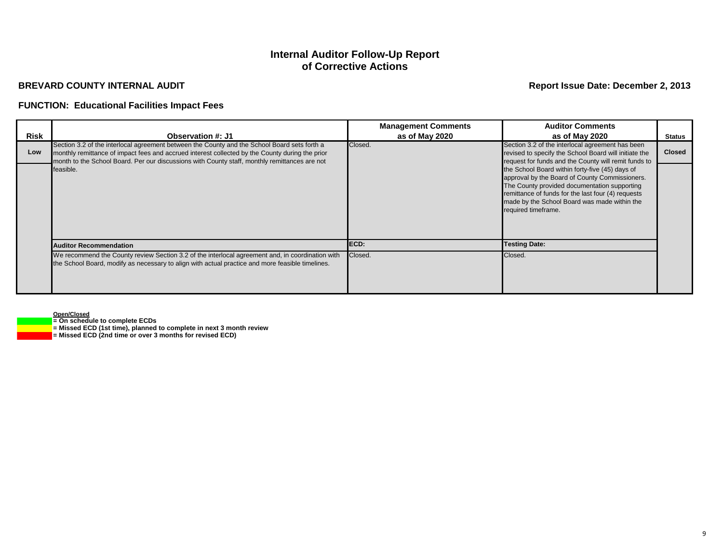#### **BREVARD COUNTY INTERNAL AUDIT**

### **Report Issue Date: December 2, 2013**

#### **FUNCTION: Educational Facilities Impact Fees**

| <b>Risk</b> | <b>Observation #: J1</b>                                                                                                                                                                                                                                                                                      | <b>Management Comments</b><br>as of May 2020 | <b>Auditor Comments</b><br>as of May 2020                                                                                                                                                                                                                                                                                                                                                                                                           | <b>Status</b> |
|-------------|---------------------------------------------------------------------------------------------------------------------------------------------------------------------------------------------------------------------------------------------------------------------------------------------------------------|----------------------------------------------|-----------------------------------------------------------------------------------------------------------------------------------------------------------------------------------------------------------------------------------------------------------------------------------------------------------------------------------------------------------------------------------------------------------------------------------------------------|---------------|
| Low         | Section 3.2 of the interlocal agreement between the County and the School Board sets forth a<br>monthly remittance of impact fees and accrued interest collected by the County during the prior<br>month to the School Board. Per our discussions with County staff, monthly remittances are not<br>feasible. | Closed.                                      | Section 3.2 of the interlocal agreement has been<br>revised to specify the School Board will initiate the<br>request for funds and the County will remit funds to<br>the School Board within forty-five (45) days of<br>approval by the Board of County Commissioners.<br>The County provided documentation supporting<br>remittance of funds for the last four (4) requests<br>made by the School Board was made within the<br>required timeframe. | <b>Closed</b> |
|             | <b>Auditor Recommendation</b>                                                                                                                                                                                                                                                                                 | ECD:                                         | <b>Testing Date:</b>                                                                                                                                                                                                                                                                                                                                                                                                                                |               |
|             | We recommend the County review Section 3.2 of the interlocal agreement and, in coordination with<br>the School Board, modify as necessary to align with actual practice and more feasible timelines.                                                                                                          | Closed.                                      | Closed.                                                                                                                                                                                                                                                                                                                                                                                                                                             |               |

**Open/Closed**

**= On schedule to complete ECDs**

**= Missed ECD (1st time), planned to complete in next 3 month review**

**= Missed ECD (2nd time or over 3 months for revised ECD)**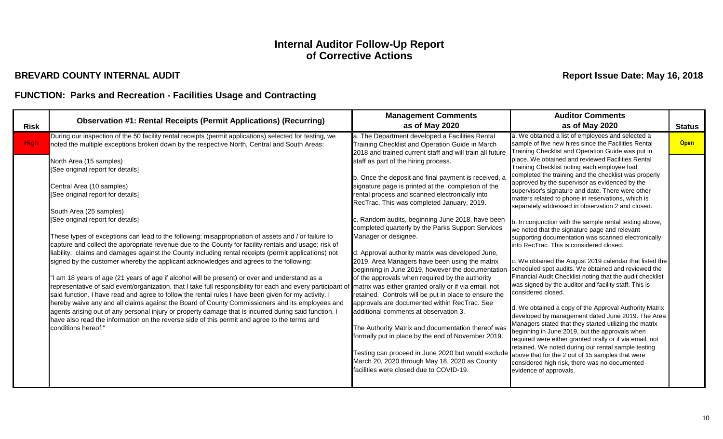#### **BREVARD COUNTY INTERNAL AUDIT**

# **Report Issue Date: May 16, 2018**

|             | <b>Observation #1: Rental Receipts (Permit Applications) (Recurring)</b>                                                                                                                                                                                                                                                                                                                                                                                                                                                                                                                                                                                                                                                                                                                                                                                                                                                                                                                                                                                                                                                                                                                                                                                                     | <b>Management Comments</b>                                                                                                                                                                                                                                                                                                                                                                                                                                                                                                                                                                                                                                                                                                                                                                                                                                                                                                                                                                                                                                                 | <b>Auditor Comments</b>                                                                                                                                                                                                                                                                                                                                                                                                                                                                                                                                                                                                                                                                                                                                                                                                                                                                                                                                                                                                                                                                                                                                                                                                                                                                                                               |               |
|-------------|------------------------------------------------------------------------------------------------------------------------------------------------------------------------------------------------------------------------------------------------------------------------------------------------------------------------------------------------------------------------------------------------------------------------------------------------------------------------------------------------------------------------------------------------------------------------------------------------------------------------------------------------------------------------------------------------------------------------------------------------------------------------------------------------------------------------------------------------------------------------------------------------------------------------------------------------------------------------------------------------------------------------------------------------------------------------------------------------------------------------------------------------------------------------------------------------------------------------------------------------------------------------------|----------------------------------------------------------------------------------------------------------------------------------------------------------------------------------------------------------------------------------------------------------------------------------------------------------------------------------------------------------------------------------------------------------------------------------------------------------------------------------------------------------------------------------------------------------------------------------------------------------------------------------------------------------------------------------------------------------------------------------------------------------------------------------------------------------------------------------------------------------------------------------------------------------------------------------------------------------------------------------------------------------------------------------------------------------------------------|---------------------------------------------------------------------------------------------------------------------------------------------------------------------------------------------------------------------------------------------------------------------------------------------------------------------------------------------------------------------------------------------------------------------------------------------------------------------------------------------------------------------------------------------------------------------------------------------------------------------------------------------------------------------------------------------------------------------------------------------------------------------------------------------------------------------------------------------------------------------------------------------------------------------------------------------------------------------------------------------------------------------------------------------------------------------------------------------------------------------------------------------------------------------------------------------------------------------------------------------------------------------------------------------------------------------------------------|---------------|
| <b>Risk</b> |                                                                                                                                                                                                                                                                                                                                                                                                                                                                                                                                                                                                                                                                                                                                                                                                                                                                                                                                                                                                                                                                                                                                                                                                                                                                              | as of May 2020                                                                                                                                                                                                                                                                                                                                                                                                                                                                                                                                                                                                                                                                                                                                                                                                                                                                                                                                                                                                                                                             | as of May 2020                                                                                                                                                                                                                                                                                                                                                                                                                                                                                                                                                                                                                                                                                                                                                                                                                                                                                                                                                                                                                                                                                                                                                                                                                                                                                                                        | <b>Status</b> |
| <b>High</b> | During our inspection of the 50 facility rental receipts (permit applications) selected for testing, we<br>noted the multiple exceptions broken down by the respective North, Central and South Areas:                                                                                                                                                                                                                                                                                                                                                                                                                                                                                                                                                                                                                                                                                                                                                                                                                                                                                                                                                                                                                                                                       | a. The Department developed a Facilities Rental<br>Training Checklist and Operation Guide in March<br>2018 and trained current staff and will train all future                                                                                                                                                                                                                                                                                                                                                                                                                                                                                                                                                                                                                                                                                                                                                                                                                                                                                                             | a. We obtained a list of employees and selected a<br>sample of five new hires since the Facilities Rental<br>Training Checklist and Operation Guide was put in                                                                                                                                                                                                                                                                                                                                                                                                                                                                                                                                                                                                                                                                                                                                                                                                                                                                                                                                                                                                                                                                                                                                                                        | <b>Open</b>   |
|             | North Area (15 samples)<br>[See original report for details]<br>Central Area (10 samples)<br>[See original report for details]<br>South Area (25 samples)<br>[See original report for details]<br>These types of exceptions can lead to the following: misappropriation of assets and / or failure to<br>capture and collect the appropriate revenue due to the County for facility rentals and usage; risk of<br>liability, claims and damages against the County including rental receipts (permit applications) not<br>signed by the customer whereby the applicant acknowledges and agrees to the following:<br>I am 18 years of age (21 years of age if alcohol will be present) or over and understand as a<br>representative of said event/organization, that I take full responsibility for each and every participant of<br>said function. I have read and agree to follow the rental rules I have been given for my activity. I<br>hereby waive any and all claims against the Board of County Commissioners and its employees and<br>agents arising out of any personal injury or property damage that is incurred during said function. I<br>have also read the information on the reverse side of this permit and agree to the terms and<br>conditions hereof." | staff as part of the hiring process.<br>b. Once the deposit and final payment is received, a<br>signature page is printed at the completion of the<br>rental process and scanned electronically into<br>RecTrac. This was completed January, 2019.<br>c. Random audits, beginning June 2018, have been<br>completed quarterly by the Parks Support Services<br>Manager or designee.<br>d. Approval authority matrix was developed June,<br>2019. Area Managers have been using the matrix<br>beginning in June 2019, however the documentation<br>of the approvals when required by the authority<br>matrix was either granted orally or if via email, not<br>retained. Controls will be put in place to ensure the<br>approvals are documented within RecTrac. See<br>additional comments at observation 3.<br>The Authority Matrix and documentation thereof was<br>formally put in place by the end of November 2019.<br>Testing can proceed in June 2020 but would exclude<br>March 20, 2020 through May 18, 2020 as County<br>facilities were closed due to COVID-19. | place. We obtained and reviewed Facilities Rental<br>Training Checklist noting each employee had<br>completed the training and the checklist was properly<br>approved by the supervisor as evidenced by the<br>supervisor's signature and date. There were other<br>matters related to phone in reservations, which is<br>separately addressed in observation 2 and closed.<br>b. In conjunction with the sample rental testing above,<br>we noted that the signature page and relevant<br>supporting documentation was scanned electronically<br>into RecTrac. This is considered closed.<br>c. We obtained the August 2019 calendar that listed the<br>scheduled spot audits. We obtained and reviewed the<br>Financial Audit Checklist noting that the audit checklist<br>was signed by the auditor and facility staff. This is<br>considered closed.<br>d. We obtained a copy of the Approval Authority Matrix<br>developed by management dated June 2019. The Area<br>Managers stated that they started utilizing the matrix<br>beginning in June 2019, but the approvals when<br>required were either granted orally or if via email, not<br>retained. We noted during our rental sample testing<br>above that for the 2 out of 15 samples that were<br>considered high risk, there was no documented<br>evidence of approvals. |               |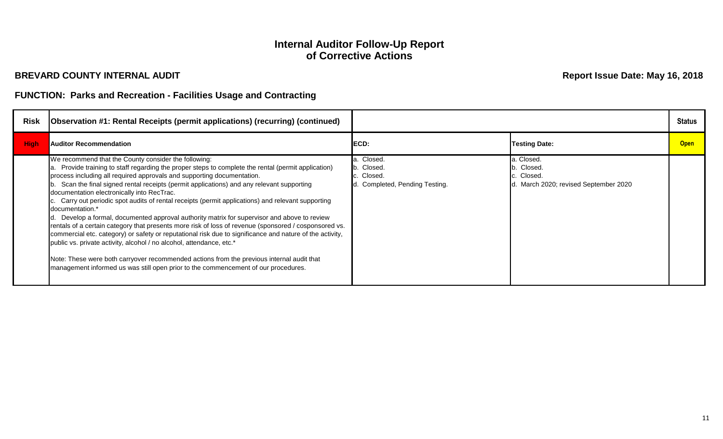### **BREVARD COUNTY INTERNAL AUDIT**

**Report Issue Date: May 16, 2018**

| Risk        | <b>Observation #1: Rental Receipts (permit applications) (recurring) (continued)</b>                                                                                                                                                                                                                                                                                                                                                                                                                                                                                                                                                                                                                                                                                                                                                                                                                                                                                                                                                                                              |                                                                          |                                                                           | <b>Status</b> |
|-------------|-----------------------------------------------------------------------------------------------------------------------------------------------------------------------------------------------------------------------------------------------------------------------------------------------------------------------------------------------------------------------------------------------------------------------------------------------------------------------------------------------------------------------------------------------------------------------------------------------------------------------------------------------------------------------------------------------------------------------------------------------------------------------------------------------------------------------------------------------------------------------------------------------------------------------------------------------------------------------------------------------------------------------------------------------------------------------------------|--------------------------------------------------------------------------|---------------------------------------------------------------------------|---------------|
| <b>High</b> | <b>Auditor Recommendation</b>                                                                                                                                                                                                                                                                                                                                                                                                                                                                                                                                                                                                                                                                                                                                                                                                                                                                                                                                                                                                                                                     | <b>IECD:</b>                                                             | <b>Testing Date:</b>                                                      | <b>Open</b>   |
|             | We recommend that the County consider the following:<br>Provide training to staff regarding the proper steps to complete the rental (permit application)<br>process including all required approvals and supporting documentation.<br>Scan the final signed rental receipts (permit applications) and any relevant supporting<br>documentation electronically into RecTrac.<br>c. Carry out periodic spot audits of rental receipts (permit applications) and relevant supporting<br>documentation.*<br>Develop a formal, documented approval authority matrix for supervisor and above to review<br>rentals of a certain category that presents more risk of loss of revenue (sponsored / cosponsored vs.<br>commercial etc. category) or safety or reputational risk due to significance and nature of the activity,<br>public vs. private activity, alcohol / no alcohol, attendance, etc.*<br>Note: These were both carryover recommended actions from the previous internal audit that<br>management informed us was still open prior to the commencement of our procedures. | a. Closed.<br>b. Closed.<br>c. Closed.<br>d. Completed, Pending Testing. | a. Closed.<br>b. Closed.<br>Closed.<br>March 2020; revised September 2020 |               |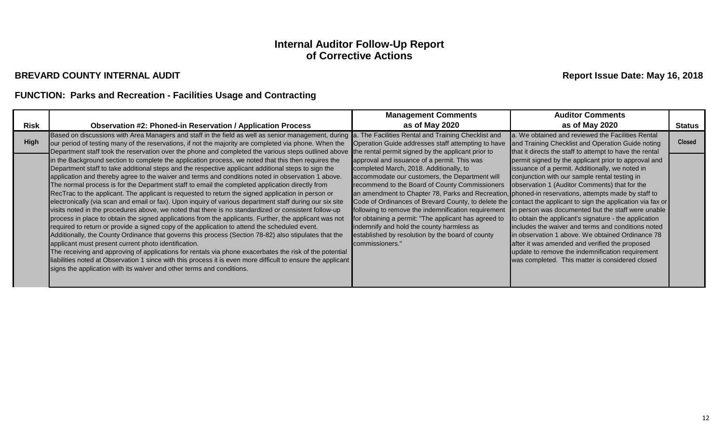#### **BREVARD COUNTY INTERNAL AUDIT**

# **Report Issue Date: May 16, 2018**

|             |                                                                                                                                                                                                                                                                                                                                                                                                                                                                                                                                                                                                                                                                                                                                                                                                                                                                                                                                                                                                                                                                                                                                                                                                                                                                                                                                                                                                                               | <b>Management Comments</b>                                                                                                                                                                                                                                                                                                                                                                                                                                                                                                           | <b>Auditor Comments</b>                                                                                                                                                                                                                                                                                                                                                                                                                                                                                                                                                                                                                                                                                     |               |
|-------------|-------------------------------------------------------------------------------------------------------------------------------------------------------------------------------------------------------------------------------------------------------------------------------------------------------------------------------------------------------------------------------------------------------------------------------------------------------------------------------------------------------------------------------------------------------------------------------------------------------------------------------------------------------------------------------------------------------------------------------------------------------------------------------------------------------------------------------------------------------------------------------------------------------------------------------------------------------------------------------------------------------------------------------------------------------------------------------------------------------------------------------------------------------------------------------------------------------------------------------------------------------------------------------------------------------------------------------------------------------------------------------------------------------------------------------|--------------------------------------------------------------------------------------------------------------------------------------------------------------------------------------------------------------------------------------------------------------------------------------------------------------------------------------------------------------------------------------------------------------------------------------------------------------------------------------------------------------------------------------|-------------------------------------------------------------------------------------------------------------------------------------------------------------------------------------------------------------------------------------------------------------------------------------------------------------------------------------------------------------------------------------------------------------------------------------------------------------------------------------------------------------------------------------------------------------------------------------------------------------------------------------------------------------------------------------------------------------|---------------|
| <b>Risk</b> | <b>Observation #2: Phoned-in Reservation / Application Process</b>                                                                                                                                                                                                                                                                                                                                                                                                                                                                                                                                                                                                                                                                                                                                                                                                                                                                                                                                                                                                                                                                                                                                                                                                                                                                                                                                                            | as of May 2020                                                                                                                                                                                                                                                                                                                                                                                                                                                                                                                       | as of May 2020                                                                                                                                                                                                                                                                                                                                                                                                                                                                                                                                                                                                                                                                                              | <b>Status</b> |
| High        | Based on discussions with Area Managers and staff in the field as well as senior management, during<br>our period of testing many of the reservations, if not the majority are completed via phone. When the<br>Department staff took the reservation over the phone and completed the various steps outlined above                                                                                                                                                                                                                                                                                                                                                                                                                                                                                                                                                                                                                                                                                                                                                                                                                                                                                                                                                                                                                                                                                                           | a. The Facilities Rental and Training Checklist and<br>Operation Guide addresses staff attempting to have<br>the rental permit signed by the applicant prior to                                                                                                                                                                                                                                                                                                                                                                      | a. We obtained and reviewed the Facilities Rental<br>and Training Checklist and Operation Guide noting<br>that it directs the staff to attempt to have the rental                                                                                                                                                                                                                                                                                                                                                                                                                                                                                                                                           | <b>Closed</b> |
|             | in the Background section to complete the application process, we noted that this then requires the<br>Department staff to take additional steps and the respective applicant additional steps to sign the<br>application and thereby agree to the waiver and terms and conditions noted in observation 1 above.<br>The normal process is for the Department staff to email the completed application directly from<br>RecTrac to the applicant. The applicant is requested to return the signed application in person or<br>electronically (via scan and email or fax). Upon inquiry of various department staff during our six site<br>visits noted in the procedures above, we noted that there is no standardized or consistent follow-up<br>process in place to obtain the signed applications from the applicants. Further, the applicant was not<br>required to return or provide a signed copy of the application to attend the scheduled event.<br>Additionally, the County Ordinance that governs this process (Section 78-82) also stipulates that the<br>applicant must present current photo identification.<br>The receiving and approving of applications for rentals via phone exacerbates the risk of the potential<br>liabilities noted at Observation 1 since with this process it is even more difficult to ensure the applicant<br>signs the application with its waiver and other terms and conditions. | approval and issuance of a permit. This was<br>completed March, 2018. Additionally, to<br>accommodate our customers, the Department will<br>recommend to the Board of County Commissioners<br>an amendment to Chapter 78, Parks and Recreation, phoned-in reservations, attempts made by staff to<br>following to remove the indemnification requirement<br>for obtaining a permit: "The applicant has agreed to<br>indemnify and hold the county harmless as<br>established by resolution by the board of county<br>commissioners." | permit signed by the applicant prior to approval and<br>issuance of a permit. Additionally, we noted in<br>conjunction with our sample rental testing in<br>observation 1 (Auditor Comments) that for the<br>Code of Ordinances of Brevard County, to delete the contact the applicant to sign the application via fax or<br>in person was documented but the staff were unable<br>to obtain the applicant's signature - the application<br>includes the waiver and terms and conditions noted<br>in observation 1 above. We obtained Ordinance 78<br>after it was amended and verified the proposed<br>update to remove the indemnification requirement<br>was completed. This matter is considered closed |               |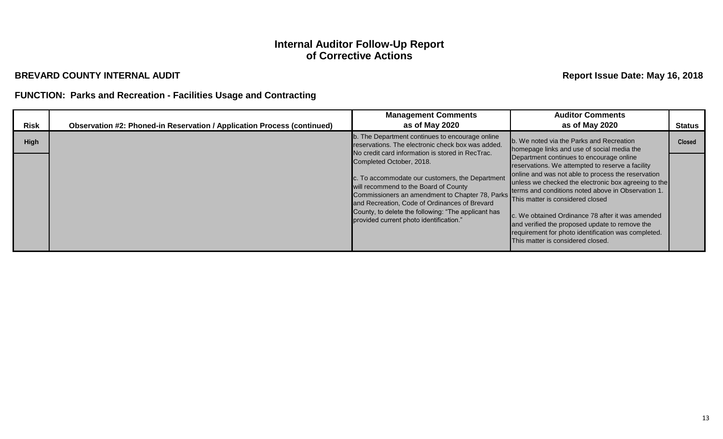### **BREVARD COUNTY INTERNAL AUDIT**

# **Report Issue Date: May 16, 2018**

| <b>Risk</b> | <b>Observation #2: Phoned-in Reservation / Application Process (continued)</b> | <b>Management Comments</b><br>as of May 2020                                                                                                                                                                                                                                                                               | <b>Auditor Comments</b><br>as of May 2020                                                                                                                                                                                                                                                                                                                                                                                                                                                              | <b>Status</b> |
|-------------|--------------------------------------------------------------------------------|----------------------------------------------------------------------------------------------------------------------------------------------------------------------------------------------------------------------------------------------------------------------------------------------------------------------------|--------------------------------------------------------------------------------------------------------------------------------------------------------------------------------------------------------------------------------------------------------------------------------------------------------------------------------------------------------------------------------------------------------------------------------------------------------------------------------------------------------|---------------|
| High        |                                                                                | b. The Department continues to encourage online<br>reservations. The electronic check box was added.<br>No credit card information is stored in RecTrac.                                                                                                                                                                   | b. We noted via the Parks and Recreation<br>homepage links and use of social media the                                                                                                                                                                                                                                                                                                                                                                                                                 | <b>Closed</b> |
|             |                                                                                | Completed October, 2018.<br>c. To accommodate our customers, the Department<br>will recommend to the Board of County<br>Commissioners an amendment to Chapter 78, Parks<br>and Recreation, Code of Ordinances of Brevard<br>County, to delete the following: "The applicant has<br>provided current photo identification." | Department continues to encourage online<br>reservations. We attempted to reserve a facility<br>online and was not able to process the reservation<br>unless we checked the electronic box agreeing to the<br>terms and conditions noted above in Observation 1.<br>This matter is considered closed<br>c. We obtained Ordinance 78 after it was amended<br>and verified the proposed update to remove the<br>requirement for photo identification was completed.<br>This matter is considered closed. |               |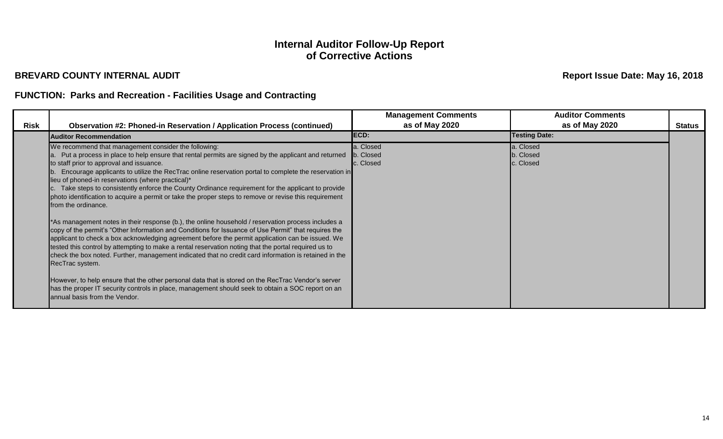#### **BREVARD COUNTY INTERNAL AUDIT**

**Report Issue Date: May 16, 2018**

| Risk | <b>Observation #2: Phoned-in Reservation / Application Process (continued)</b>                                                                                                                                                                                                                                                                                                                                                                                                                                                                     | <b>Management Comments</b><br>as of May 2020 | <b>Auditor Comments</b><br>as of May 2020 | <b>Status</b> |
|------|----------------------------------------------------------------------------------------------------------------------------------------------------------------------------------------------------------------------------------------------------------------------------------------------------------------------------------------------------------------------------------------------------------------------------------------------------------------------------------------------------------------------------------------------------|----------------------------------------------|-------------------------------------------|---------------|
|      | <b>Auditor Recommendation</b>                                                                                                                                                                                                                                                                                                                                                                                                                                                                                                                      | ECD:                                         | <b>Testing Date:</b>                      |               |
|      | We recommend that management consider the following:                                                                                                                                                                                                                                                                                                                                                                                                                                                                                               | a. Closed                                    | a. Closed                                 |               |
|      | a. Put a process in place to help ensure that rental permits are signed by the applicant and returned                                                                                                                                                                                                                                                                                                                                                                                                                                              | b. Closed                                    | b. Closed                                 |               |
|      | to staff prior to approval and issuance.<br>Encourage applicants to utilize the RecTrac online reservation portal to complete the reservation in                                                                                                                                                                                                                                                                                                                                                                                                   | c. Closed                                    | c. Closed                                 |               |
|      | lieu of phoned-in reservations (where practical)*                                                                                                                                                                                                                                                                                                                                                                                                                                                                                                  |                                              |                                           |               |
|      | c. Take steps to consistently enforce the County Ordinance requirement for the applicant to provide                                                                                                                                                                                                                                                                                                                                                                                                                                                |                                              |                                           |               |
|      | photo identification to acquire a permit or take the proper steps to remove or revise this requirement                                                                                                                                                                                                                                                                                                                                                                                                                                             |                                              |                                           |               |
|      | from the ordinance.                                                                                                                                                                                                                                                                                                                                                                                                                                                                                                                                |                                              |                                           |               |
|      | *As management notes in their response (b.), the online household / reservation process includes a<br>copy of the permit's "Other Information and Conditions for Issuance of Use Permit" that requires the<br>applicant to check a box acknowledging agreement before the permit application can be issued. We<br>tested this control by attempting to make a rental reservation noting that the portal required us to<br>check the box noted. Further, management indicated that no credit card information is retained in the<br>RecTrac system. |                                              |                                           |               |
|      | However, to help ensure that the other personal data that is stored on the RecTrac Vendor's server<br>has the proper IT security controls in place, management should seek to obtain a SOC report on an<br>annual basis from the Vendor.                                                                                                                                                                                                                                                                                                           |                                              |                                           |               |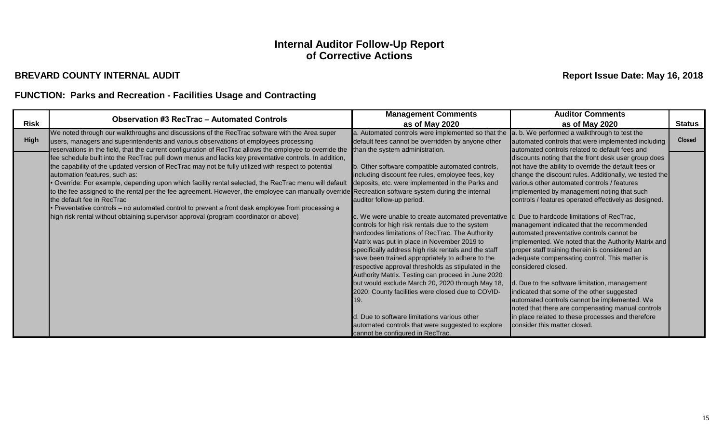#### **of Corrective Actions Internal Auditor Follow-Up Report**

### **BREVARD COUNTY INTERNAL AUDIT**

|             | <b>Observation #3 RecTrac - Automated Controls</b>                                                                                                  | <b>Management Comments</b>                           | <b>Auditor Comments</b>                                |               |
|-------------|-----------------------------------------------------------------------------------------------------------------------------------------------------|------------------------------------------------------|--------------------------------------------------------|---------------|
| <b>Risk</b> |                                                                                                                                                     | as of May 2020                                       | as of May 2020                                         | <b>Status</b> |
|             | We noted through our walkthroughs and discussions of the RecTrac software with the Area super                                                       | a. Automated controls were implemented so that the   | a. b. We performed a walkthrough to test the           |               |
| High        | users, managers and superintendents and various observations of employees processing                                                                | default fees cannot be overridden by anyone other    | automated controls that were implemented including     | <b>Closed</b> |
|             | reservations in the field, that the current configuration of RecTrac allows the employee to override the                                            | than the system administration.                      | automated controls related to default fees and         |               |
|             | fee schedule built into the RecTrac pull down menus and lacks key preventative controls. In addition,                                               |                                                      | discounts noting that the front desk user group does   |               |
|             | the capability of the updated version of RecTrac may not be fully utilized with respect to potential                                                | b. Other software compatible automated controls,     | not have the ability to override the default fees or   |               |
|             | automation features, such as:                                                                                                                       | including discount fee rules, employee fees, key     | change the discount rules. Additionally, we tested the |               |
|             | Override: For example, depending upon which facility rental selected, the RecTrac menu will default •                                               | deposits, etc. were implemented in the Parks and     | various other automated controls / features            |               |
|             | to the fee assigned to the rental per the fee agreement. However, the employee can manually override Recreation software system during the internal |                                                      | implemented by management noting that such             |               |
|             | the default fee in RecTrac                                                                                                                          | auditor follow-up period.                            | controls / features operated effectively as designed.  |               |
|             | Preventative controls – no automated control to prevent a front desk employee from processing a                                                     |                                                      |                                                        |               |
|             | high risk rental without obtaining supervisor approval (program coordinator or above)                                                               | c. We were unable to create automated preventative   | c. Due to hardcode limitations of RecTrac,             |               |
|             |                                                                                                                                                     | controls for high risk rentals due to the system     | management indicated that the recommended              |               |
|             |                                                                                                                                                     | hardcodes limitations of RecTrac. The Authority      | automated preventative controls cannot be              |               |
|             |                                                                                                                                                     | Matrix was put in place in November 2019 to          | implemented. We noted that the Authority Matrix and    |               |
|             |                                                                                                                                                     | specifically address high risk rentals and the staff | proper staff training therein is considered an         |               |
|             |                                                                                                                                                     | have been trained appropriately to adhere to the     | adequate compensating control. This matter is          |               |
|             |                                                                                                                                                     | respective approval thresholds as stipulated in the  | considered closed.                                     |               |
|             |                                                                                                                                                     | Authority Matrix. Testing can proceed in June 2020   |                                                        |               |
|             |                                                                                                                                                     | but would exclude March 20, 2020 through May 18,     | d. Due to the software limitation, management          |               |
|             |                                                                                                                                                     | 2020; County facilities were closed due to COVID-    | indicated that some of the other suggested             |               |
|             |                                                                                                                                                     | 19.                                                  | automated controls cannot be implemented. We           |               |
|             |                                                                                                                                                     |                                                      | noted that there are compensating manual controls      |               |
|             |                                                                                                                                                     | d. Due to software limitations various other         | in place related to these processes and therefore      |               |
|             |                                                                                                                                                     | automated controls that were suggested to explore    | consider this matter closed.                           |               |
|             |                                                                                                                                                     | cannot be configured in RecTrac.                     |                                                        |               |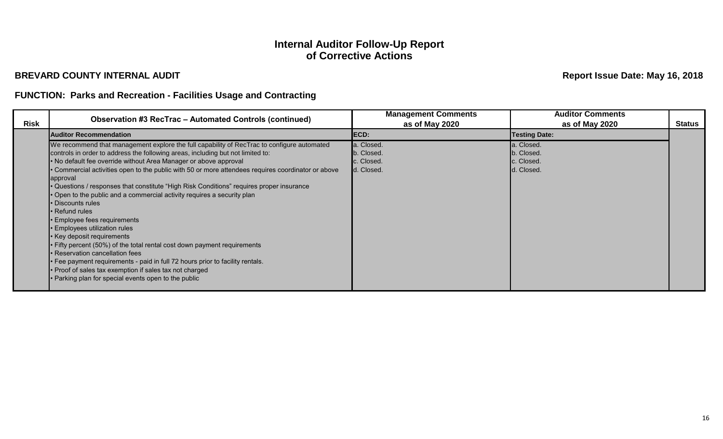#### **BREVARD COUNTY INTERNAL AUDIT**

**Report Issue Date: May 16, 2018**

| <b>Risk</b> | <b>Observation #3 RecTrac - Automated Controls (continued)</b>                                                                                                                                                                                                                                                                                                                                                                                                                                                                                                                                                                                                                                                                                                                                                                                                                                                                                                                 | <b>Management Comments</b><br>as of May 2020         | <b>Auditor Comments</b><br>as of May 2020            | <b>Status</b> |
|-------------|--------------------------------------------------------------------------------------------------------------------------------------------------------------------------------------------------------------------------------------------------------------------------------------------------------------------------------------------------------------------------------------------------------------------------------------------------------------------------------------------------------------------------------------------------------------------------------------------------------------------------------------------------------------------------------------------------------------------------------------------------------------------------------------------------------------------------------------------------------------------------------------------------------------------------------------------------------------------------------|------------------------------------------------------|------------------------------------------------------|---------------|
|             | <b>Auditor Recommendation</b>                                                                                                                                                                                                                                                                                                                                                                                                                                                                                                                                                                                                                                                                                                                                                                                                                                                                                                                                                  | ECD:                                                 | <b>Testing Date:</b>                                 |               |
|             | We recommend that management explore the full capability of RecTrac to configure automated<br>controls in order to address the following areas, including but not limited to:<br>No default fee override without Area Manager or above approval<br>Commercial activities open to the public with 50 or more attendees requires coordinator or above<br>approval<br>Questions / responses that constitute "High Risk Conditions" requires proper insurance<br>Open to the public and a commercial activity requires a security plan<br>Discounts rules<br><b>Refund rules</b><br>Employee fees requirements<br>Employees utilization rules<br>Key deposit requirements<br>Fifty percent (50%) of the total rental cost down payment requirements<br>Reservation cancellation fees<br>Fee payment requirements - paid in full 72 hours prior to facility rentals.<br>Proof of sales tax exemption if sales tax not charged<br>Parking plan for special events open to the public | a. Closed.<br>b. Closed.<br>c. Closed.<br>d. Closed. | a. Closed.<br>b. Closed.<br>c. Closed.<br>d. Closed. |               |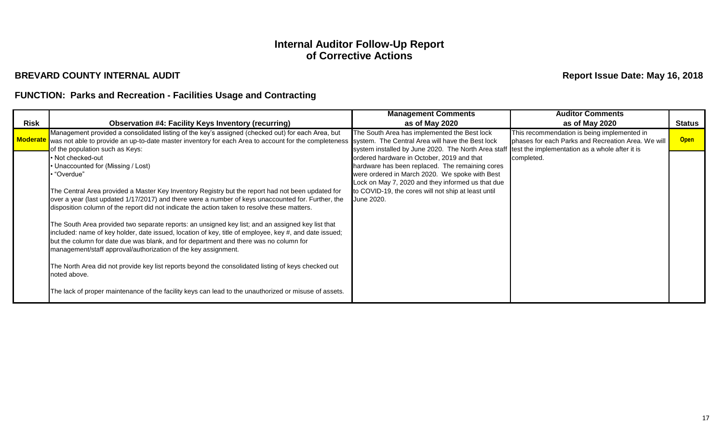#### **BREVARD COUNTY INTERNAL AUDIT**

**Report Issue Date: May 16, 2018**

|             |                                                                                                                                                                | <b>Management Comments</b>                                                                         | <b>Auditor Comments</b>                            |               |
|-------------|----------------------------------------------------------------------------------------------------------------------------------------------------------------|----------------------------------------------------------------------------------------------------|----------------------------------------------------|---------------|
| <b>Risk</b> | <b>Observation #4: Facility Keys Inventory (recurring)</b>                                                                                                     | as of May 2020                                                                                     | as of May 2020                                     | <b>Status</b> |
|             | Management provided a consolidated listing of the key's assigned (checked out) for each Area, but                                                              | The South Area has implemented the Best lock                                                       | This recommendation is being implemented in        |               |
|             | Moderate was not able to provide an up-to-date master inventory for each Area to account for the completeness system. The Central Area will have the Best lock |                                                                                                    | phases for each Parks and Recreation Area. We will | <b>Open</b>   |
|             | of the population such as Keys:                                                                                                                                | system installed by June 2020. The North Area staff test the implementation as a whole after it is |                                                    |               |
|             | • Not checked-out                                                                                                                                              | ordered hardware in October, 2019 and that                                                         | completed.                                         |               |
|             | • Unaccounted for (Missing / Lost)                                                                                                                             | hardware has been replaced. The remaining cores                                                    |                                                    |               |
|             | • "Overdue"                                                                                                                                                    | were ordered in March 2020. We spoke with Best                                                     |                                                    |               |
|             |                                                                                                                                                                | Lock on May 7, 2020 and they informed us that due                                                  |                                                    |               |
|             | The Central Area provided a Master Key Inventory Registry but the report had not been updated for                                                              | to COVID-19, the cores will not ship at least until                                                |                                                    |               |
|             | over a year (last updated 1/17/2017) and there were a number of keys unaccounted for. Further, the                                                             | June 2020.                                                                                         |                                                    |               |
|             | disposition column of the report did not indicate the action taken to resolve these matters.                                                                   |                                                                                                    |                                                    |               |
|             |                                                                                                                                                                |                                                                                                    |                                                    |               |
|             | The South Area provided two separate reports: an unsigned key list; and an assigned key list that                                                              |                                                                                                    |                                                    |               |
|             | included: name of key holder, date issued, location of key, title of employee, key #, and date issued;                                                         |                                                                                                    |                                                    |               |
|             | but the column for date due was blank, and for department and there was no column for                                                                          |                                                                                                    |                                                    |               |
|             | management/staff approval/authorization of the key assignment.                                                                                                 |                                                                                                    |                                                    |               |
|             |                                                                                                                                                                |                                                                                                    |                                                    |               |
|             | The North Area did not provide key list reports beyond the consolidated listing of keys checked out                                                            |                                                                                                    |                                                    |               |
|             | noted above.                                                                                                                                                   |                                                                                                    |                                                    |               |
|             |                                                                                                                                                                |                                                                                                    |                                                    |               |
|             | The lack of proper maintenance of the facility keys can lead to the unauthorized or misuse of assets.                                                          |                                                                                                    |                                                    |               |
|             |                                                                                                                                                                |                                                                                                    |                                                    |               |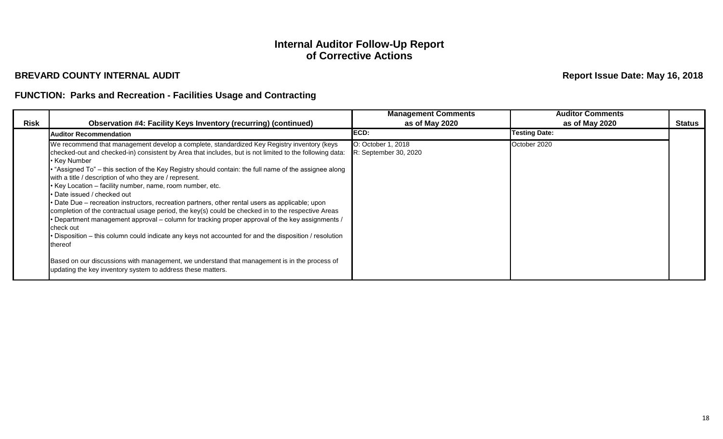#### **BREVARD COUNTY INTERNAL AUDIT**

**Report Issue Date: May 16, 2018**

|             |                                                                                                                                                                                                                                                                                                                                                                                                                                                                                                                                                                                                                                                                                                                                                                                                                                                                                                                                                                                                                                                                                                      | <b>Management Comments</b>                  | <b>Auditor Comments</b> |               |
|-------------|------------------------------------------------------------------------------------------------------------------------------------------------------------------------------------------------------------------------------------------------------------------------------------------------------------------------------------------------------------------------------------------------------------------------------------------------------------------------------------------------------------------------------------------------------------------------------------------------------------------------------------------------------------------------------------------------------------------------------------------------------------------------------------------------------------------------------------------------------------------------------------------------------------------------------------------------------------------------------------------------------------------------------------------------------------------------------------------------------|---------------------------------------------|-------------------------|---------------|
| <b>Risk</b> | <b>Observation #4: Facility Keys Inventory (recurring) (continued)</b>                                                                                                                                                                                                                                                                                                                                                                                                                                                                                                                                                                                                                                                                                                                                                                                                                                                                                                                                                                                                                               | as of May 2020                              | as of May 2020          | <b>Status</b> |
|             | <b>Auditor Recommendation</b>                                                                                                                                                                                                                                                                                                                                                                                                                                                                                                                                                                                                                                                                                                                                                                                                                                                                                                                                                                                                                                                                        | ECD:                                        | <b>Testing Date:</b>    |               |
|             | We recommend that management develop a complete, standardized Key Registry inventory (keys<br>checked-out and checked-in) consistent by Area that includes, but is not limited to the following data:<br>• Key Number<br>• "Assigned To" – this section of the Key Registry should contain: the full name of the assignee along<br>with a title / description of who they are / represent.<br>• Key Location – facility number, name, room number, etc.<br>• Date issued / checked out<br>• Date Due – recreation instructors, recreation partners, other rental users as applicable; upon<br>completion of the contractual usage period, the key(s) could be checked in to the respective Areas<br>. Department management approval - column for tracking proper approval of the key assignments /<br>check out<br>• Disposition – this column could indicate any keys not accounted for and the disposition / resolution<br>thereof<br>Based on our discussions with management, we understand that management is in the process of<br>updating the key inventory system to address these matters. | O: October 1, 2018<br>R: September 30, 2020 | October 2020            |               |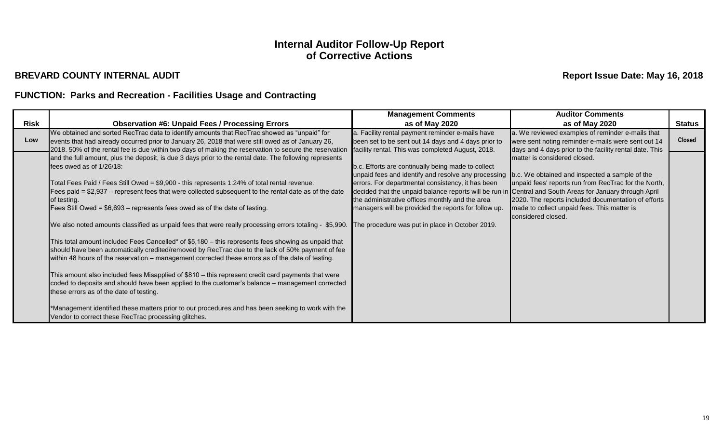#### **BREVARD COUNTY INTERNAL AUDIT**

# **Report Issue Date: May 16, 2018**

|             |                                                                                                                                                                                                                                                                                                              | <b>Management Comments</b>                                                                                                                                  | <b>Auditor Comments</b>                                                                                |               |
|-------------|--------------------------------------------------------------------------------------------------------------------------------------------------------------------------------------------------------------------------------------------------------------------------------------------------------------|-------------------------------------------------------------------------------------------------------------------------------------------------------------|--------------------------------------------------------------------------------------------------------|---------------|
| <b>Risk</b> | <b>Observation #6: Unpaid Fees / Processing Errors</b>                                                                                                                                                                                                                                                       | as of May 2020                                                                                                                                              | as of May 2020                                                                                         | <b>Status</b> |
| Low         | We obtained and sorted RecTrac data to identify amounts that RecTrac showed as "unpaid" for<br>events that had already occurred prior to January 26, 2018 that were still owed as of January 26,                                                                                                             | a. Facility rental payment reminder e-mails have<br>been set to be sent out 14 days and 4 days prior to                                                     | a. We reviewed examples of reminder e-mails that<br>were sent noting reminder e-mails were sent out 14 | <b>Closed</b> |
|             | 2018. 50% of the rental fee is due within two days of making the reservation to secure the reservation<br>and the full amount, plus the deposit, is due 3 days prior to the rental date. The following represents<br>fees owed as of 1/26/18:                                                                | facility rental. This was completed August, 2018.<br>b.c. Efforts are continually being made to collect                                                     | days and 4 days prior to the facility rental date. This<br>matter is considered closed.                |               |
|             | Total Fees Paid / Fees Still Owed = \$9,900 - this represents 1.24% of total rental revenue.                                                                                                                                                                                                                 | unpaid fees and identify and resolve any processing<br>errors. For departmental consistency, it has been                                                    | b.c. We obtained and inspected a sample of the<br>unpaid fees' reports run from RecTrac for the North, |               |
|             | Fees paid = \$2,937 – represent fees that were collected subsequent to the rental date as of the date<br>of testing.                                                                                                                                                                                         | decided that the unpaid balance reports will be run in Central and South Areas for January through April<br>the administrative offices monthly and the area | 2020. The reports included documentation of efforts                                                    |               |
|             | Fees Still Owed = \$6,693 – represents fees owed as of the date of testing.                                                                                                                                                                                                                                  | managers will be provided the reports for follow up.                                                                                                        | made to collect unpaid fees. This matter is<br>considered closed.                                      |               |
|             | We also noted amounts classified as unpaid fees that were really processing errors totaling - \$5,990.                                                                                                                                                                                                       | The procedure was put in place in October 2019.                                                                                                             |                                                                                                        |               |
|             | This total amount included Fees Cancelled* of \$5,180 - this represents fees showing as unpaid that<br>should have been automatically credited/removed by RecTrac due to the lack of 50% payment of fee<br>within 48 hours of the reservation – management corrected these errors as of the date of testing. |                                                                                                                                                             |                                                                                                        |               |
|             | This amount also included fees Misapplied of \$810 - this represent credit card payments that were<br>coded to deposits and should have been applied to the customer's balance – management corrected<br>these errors as of the date of testing.                                                             |                                                                                                                                                             |                                                                                                        |               |
|             | *Management identified these matters prior to our procedures and has been seeking to work with the<br>Vendor to correct these RecTrac processing glitches.                                                                                                                                                   |                                                                                                                                                             |                                                                                                        |               |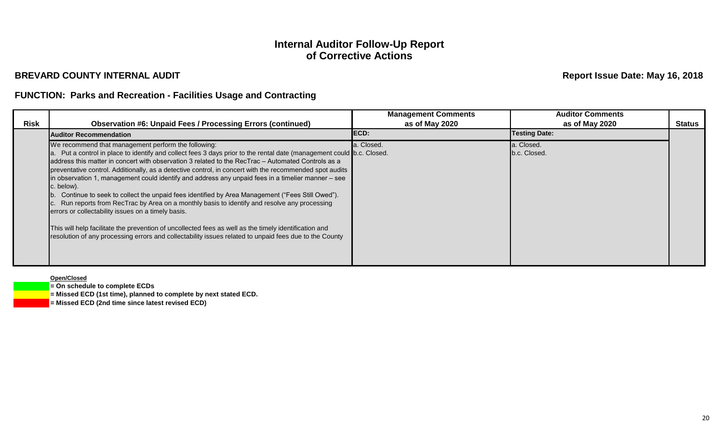#### **BREVARD COUNTY INTERNAL AUDIT**

**Report Issue Date: May 16, 2018**

#### **FUNCTION: Parks and Recreation - Facilities Usage and Contracting**

|             |                                                                                                                       | <b>Management Comments</b> | <b>Auditor Comments</b> |               |
|-------------|-----------------------------------------------------------------------------------------------------------------------|----------------------------|-------------------------|---------------|
| <b>Risk</b> | <b>Observation #6: Unpaid Fees / Processing Errors (continued)</b>                                                    | as of May 2020             | as of May 2020          | <b>Status</b> |
|             | <b>Auditor Recommendation</b>                                                                                         | ECD:                       | <b>Testing Date:</b>    |               |
|             | We recommend that management perform the following:                                                                   | a. Closed.                 | a. Closed.              |               |
|             | a. Put a control in place to identify and collect fees 3 days prior to the rental date (management could b.c. Closed. |                            | b.c. Closed.            |               |
|             | address this matter in concert with observation 3 related to the RecTrac - Automated Controls as a                    |                            |                         |               |
|             | preventative control. Additionally, as a detective control, in concert with the recommended spot audits               |                            |                         |               |
|             | in observation 1, management could identify and address any unpaid fees in a timelier manner $-$ see                  |                            |                         |               |
|             | c. below).                                                                                                            |                            |                         |               |
|             | Continue to seek to collect the unpaid fees identified by Area Management ("Fees Still Owed").<br>Ib.                 |                            |                         |               |
|             | c. Run reports from RecTrac by Area on a monthly basis to identify and resolve any processing                         |                            |                         |               |
|             | errors or collectability issues on a timely basis.                                                                    |                            |                         |               |
|             |                                                                                                                       |                            |                         |               |
|             | This will help facilitate the prevention of uncollected fees as well as the timely identification and                 |                            |                         |               |
|             | resolution of any processing errors and collectability issues related to unpaid fees due to the County                |                            |                         |               |
|             |                                                                                                                       |                            |                         |               |
|             |                                                                                                                       |                            |                         |               |
|             |                                                                                                                       |                            |                         |               |

#### **Open/Closed**

- **= On schedule to complete ECDs**
- **= Missed ECD (1st time), planned to complete by next stated ECD.**
- **= Missed ECD (2nd time since latest revised ECD)**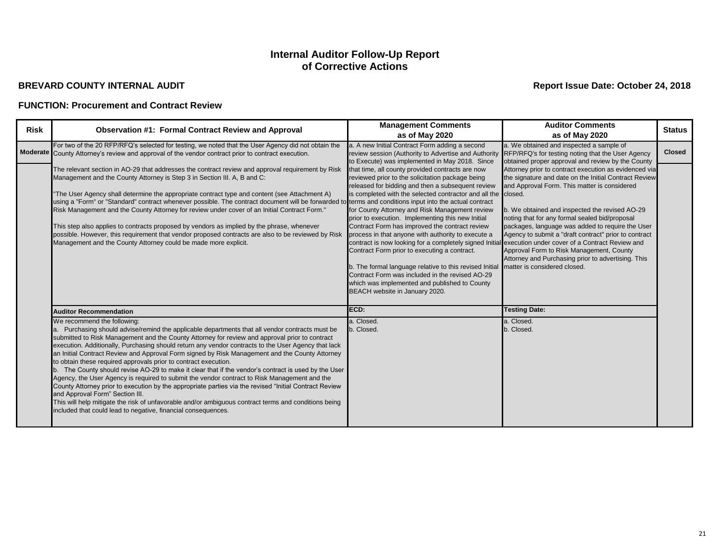### **BREVARD COUNTY INTERNAL AUDIT**

# **Report Issue Date: October 24, 2018**

#### **FUNCTION: Procurement and Contract Review**

| <b>Risk</b> | <b>Observation #1: Formal Contract Review and Approval</b>                                                                                                                                                                                                                                                                                                                                                                                                                                                                                                                                                                                                                                                                                                                                                                                                                                                                                                                                                                                 | <b>Management Comments</b><br>as of May 2020                                                                                                                                                                                                                                                                                                                                                                                                                                                                                                                                                                                                                                                                                                                                                         | <b>Auditor Comments</b><br>as of May 2020                                                                                                                                                                                                                                                                                                                                                                                                                                                                         | <b>Status</b> |
|-------------|--------------------------------------------------------------------------------------------------------------------------------------------------------------------------------------------------------------------------------------------------------------------------------------------------------------------------------------------------------------------------------------------------------------------------------------------------------------------------------------------------------------------------------------------------------------------------------------------------------------------------------------------------------------------------------------------------------------------------------------------------------------------------------------------------------------------------------------------------------------------------------------------------------------------------------------------------------------------------------------------------------------------------------------------|------------------------------------------------------------------------------------------------------------------------------------------------------------------------------------------------------------------------------------------------------------------------------------------------------------------------------------------------------------------------------------------------------------------------------------------------------------------------------------------------------------------------------------------------------------------------------------------------------------------------------------------------------------------------------------------------------------------------------------------------------------------------------------------------------|-------------------------------------------------------------------------------------------------------------------------------------------------------------------------------------------------------------------------------------------------------------------------------------------------------------------------------------------------------------------------------------------------------------------------------------------------------------------------------------------------------------------|---------------|
|             | For two of the 20 RFP/RFQ's selected for testing, we noted that the User Agency did not obtain the<br>Moderate County Attorney's review and approval of the vendor contract prior to contract execution.                                                                                                                                                                                                                                                                                                                                                                                                                                                                                                                                                                                                                                                                                                                                                                                                                                   | a. A new Initial Contract Form adding a second<br>review session (Authority to Advertise and Authority RFP/RFQ's for testing noting that the User Agency<br>to Execute) was implemented in May 2018. Since                                                                                                                                                                                                                                                                                                                                                                                                                                                                                                                                                                                           | a. We obtained and inspected a sample of<br>obtained proper approval and review by the County                                                                                                                                                                                                                                                                                                                                                                                                                     | <b>Closed</b> |
|             | The relevant section in AO-29 that addresses the contract review and approval requirement by Risk<br>Management and the County Attorney is Step 3 in Section III. A, B and C:<br>"The User Agency shall determine the appropriate contract type and content (see Attachment A)<br>using a "Form" or "Standard" contract whenever possible. The contract document will be forwarded to terms and conditions input into the actual contract<br>Risk Management and the County Attorney for review under cover of an Initial Contract Form."<br>This step also applies to contracts proposed by vendors as implied by the phrase, whenever<br>possible. However, this requirement that vendor proposed contracts are also to be reviewed by Risk<br>Management and the County Attorney could be made more explicit.                                                                                                                                                                                                                           | that time, all county provided contracts are now<br>reviewed prior to the solicitation package being<br>released for bidding and then a subsequent review<br>is completed with the selected contractor and all the closed.<br>for County Attorney and Risk Management review<br>prior to execution. Implementing this new Initial<br>Contract Form has improved the contract review<br>process in that anyone with authority to execute a<br>contract is now looking for a completely signed Initial execution under cover of a Contract Review and<br>Contract Form prior to executing a contract.<br>b. The formal language relative to this revised Initial<br>Contract Form was included in the revised AO-29<br>which was implemented and published to County<br>BEACH website in January 2020. | Attorney prior to contract execution as evidenced via<br>the signature and date on the Initial Contract Review<br>and Approval Form. This matter is considered<br>b. We obtained and inspected the revised AO-29<br>noting that for any formal sealed bid/proposal<br>packages, language was added to require the User<br>Agency to submit a "draft contract" prior to contract<br>Approval Form to Risk Management, County<br>Attorney and Purchasing prior to advertising. This<br>matter is considered closed. |               |
|             | <b>Auditor Recommendation</b>                                                                                                                                                                                                                                                                                                                                                                                                                                                                                                                                                                                                                                                                                                                                                                                                                                                                                                                                                                                                              | ECD:                                                                                                                                                                                                                                                                                                                                                                                                                                                                                                                                                                                                                                                                                                                                                                                                 | <b>Testing Date:</b>                                                                                                                                                                                                                                                                                                                                                                                                                                                                                              |               |
|             | We recommend the following:<br>a. Purchasing should advise/remind the applicable departments that all vendor contracts must be<br>submitted to Risk Management and the County Attorney for review and approval prior to contract<br>execution. Additionally, Purchasing should return any vendor contracts to the User Agency that lack<br>an Initial Contract Review and Approval Form signed by Risk Management and the County Attorney<br>to obtain these required approvals prior to contract execution.<br>b. The County should revise AO-29 to make it clear that if the vendor's contract is used by the User<br>Agency, the User Agency is required to submit the vendor contract to Risk Management and the<br>County Attorney prior to execution by the appropriate parties via the revised "Initial Contract Review<br>and Approval Form" Section III.<br>This will help mitigate the risk of unfavorable and/or ambiguous contract terms and conditions being<br>included that could lead to negative, financial consequences. | a. Closed.<br>b. Closed.                                                                                                                                                                                                                                                                                                                                                                                                                                                                                                                                                                                                                                                                                                                                                                             | a. Closed.<br>b. Closed.                                                                                                                                                                                                                                                                                                                                                                                                                                                                                          |               |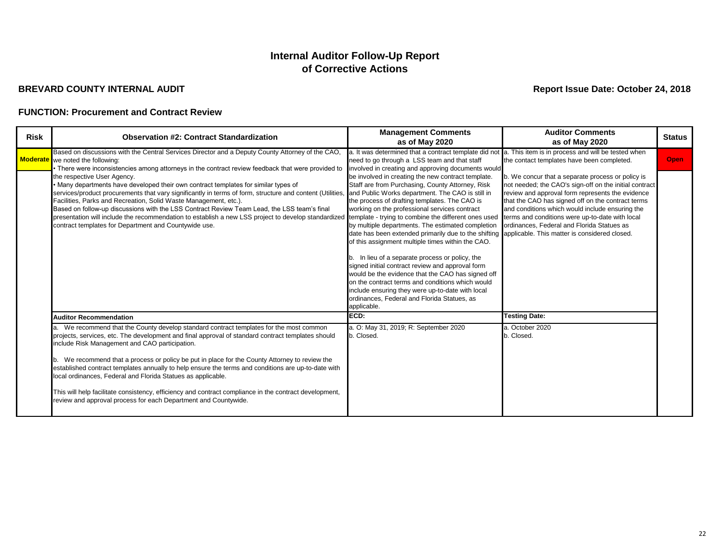# **BREVARD COUNTY INTERNAL AUDIT**

### **FUNCTION: Procurement and Contract Review**

| <b>Risk</b> | <b>Observation #2: Contract Standardization</b>                                                                                                                                                                                                                                                                                                                                                                                                                                                                                                                                                                                                                                                      | <b>Management Comments</b>                                                                                                                                                                                                                                                                                                                                                                                                                                                                                                                                                                                                                                                                                                                                                                                         | <b>Auditor Comments</b>                                                                                                                                                                                                                                                                                                                                                  | <b>Status</b> |
|-------------|------------------------------------------------------------------------------------------------------------------------------------------------------------------------------------------------------------------------------------------------------------------------------------------------------------------------------------------------------------------------------------------------------------------------------------------------------------------------------------------------------------------------------------------------------------------------------------------------------------------------------------------------------------------------------------------------------|--------------------------------------------------------------------------------------------------------------------------------------------------------------------------------------------------------------------------------------------------------------------------------------------------------------------------------------------------------------------------------------------------------------------------------------------------------------------------------------------------------------------------------------------------------------------------------------------------------------------------------------------------------------------------------------------------------------------------------------------------------------------------------------------------------------------|--------------------------------------------------------------------------------------------------------------------------------------------------------------------------------------------------------------------------------------------------------------------------------------------------------------------------------------------------------------------------|---------------|
|             |                                                                                                                                                                                                                                                                                                                                                                                                                                                                                                                                                                                                                                                                                                      | as of May 2020                                                                                                                                                                                                                                                                                                                                                                                                                                                                                                                                                                                                                                                                                                                                                                                                     | as of May 2020                                                                                                                                                                                                                                                                                                                                                           |               |
|             | Based on discussions with the Central Services Director and a Deputy County Attorney of the CAO,<br><b>Moderate</b> we noted the following:<br>There were inconsistencies among attorneys in the contract review feedback that were provided to                                                                                                                                                                                                                                                                                                                                                                                                                                                      | a. It was determined that a contract template did not<br>need to go through a LSS team and that staff<br>involved in creating and approving documents would                                                                                                                                                                                                                                                                                                                                                                                                                                                                                                                                                                                                                                                        | a. This item is in process and will be tested when<br>the contact templates have been completed.                                                                                                                                                                                                                                                                         | <b>Open</b>   |
|             | the respective User Agency.<br>• Many departments have developed their own contract templates for similar types of<br>services/product procurements that vary significantly in terms of form, structure and content (Utilities, and Public Works department. The CAO is still in<br>Facilities, Parks and Recreation, Solid Waste Management, etc.).<br>Based on follow-up discussions with the LSS Contract Review Team Lead, the LSS team's final<br>presentation will include the recommendation to establish a new LSS project to develop standardized<br>contract templates for Department and Countywide use.                                                                                  | be involved in creating the new contract template.<br>Staff are from Purchasing, County Attorney, Risk<br>the process of drafting templates. The CAO is<br>working on the professional services contract<br>template - trying to combine the different ones used<br>by multiple departments. The estimated completion<br>date has been extended primarily due to the shifting applicable. This matter is considered closed.<br>of this assignment multiple times within the CAO.<br>b. In lieu of a separate process or policy, the<br>signed initial contract review and approval form<br>would be the evidence that the CAO has signed off<br>on the contract terms and conditions which would<br>include ensuring they were up-to-date with local<br>ordinances, Federal and Florida Statues, as<br>applicable. | b. We concur that a separate process or policy is<br>not needed; the CAO's sign-off on the initial contract<br>review and approval form represents the evidence<br>that the CAO has signed off on the contract terms<br>and conditions which would include ensuring the<br>terms and conditions were up-to-date with local<br>ordinances, Federal and Florida Statues as |               |
|             | <b>Auditor Recommendation</b>                                                                                                                                                                                                                                                                                                                                                                                                                                                                                                                                                                                                                                                                        | ECD:                                                                                                                                                                                                                                                                                                                                                                                                                                                                                                                                                                                                                                                                                                                                                                                                               | <b>Testing Date:</b>                                                                                                                                                                                                                                                                                                                                                     |               |
|             | a. We recommend that the County develop standard contract templates for the most common<br>projects, services, etc. The development and final approval of standard contract templates should<br>include Risk Management and CAO participation.<br>b. We recommend that a process or policy be put in place for the County Attorney to review the<br>established contract templates annually to help ensure the terms and conditions are up-to-date with<br>local ordinances, Federal and Florida Statues as applicable.<br>This will help facilitate consistency, efficiency and contract compliance in the contract development,<br>review and approval process for each Department and Countywide. | a. O: May 31, 2019; R: September 2020<br>b. Closed.                                                                                                                                                                                                                                                                                                                                                                                                                                                                                                                                                                                                                                                                                                                                                                | a. October 2020<br>b. Closed.                                                                                                                                                                                                                                                                                                                                            |               |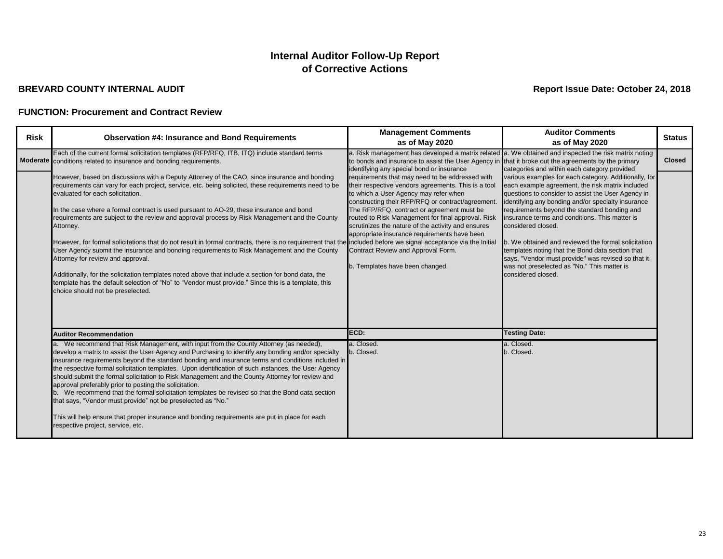#### **BREVARD COUNTY INTERNAL AUDIT**

**Report Issue Date: October 24, 2018**

#### **FUNCTION: Procurement and Contract Review**

| <b>Risk</b> | <b>Observation #4: Insurance and Bond Requirements</b>                                                                                                                                                                                                                                                                                                                                                                                                                                                                                                                                                                                                                                                                                                                                                                                                                           | <b>Management Comments</b><br>as of May 2020                                                                                                                                                                                                              | <b>Auditor Comments</b><br>as of May 2020                                                                                                                                                                             | <b>Status</b> |
|-------------|----------------------------------------------------------------------------------------------------------------------------------------------------------------------------------------------------------------------------------------------------------------------------------------------------------------------------------------------------------------------------------------------------------------------------------------------------------------------------------------------------------------------------------------------------------------------------------------------------------------------------------------------------------------------------------------------------------------------------------------------------------------------------------------------------------------------------------------------------------------------------------|-----------------------------------------------------------------------------------------------------------------------------------------------------------------------------------------------------------------------------------------------------------|-----------------------------------------------------------------------------------------------------------------------------------------------------------------------------------------------------------------------|---------------|
|             | Each of the current formal solicitation templates (RFP/RFQ, ITB, ITQ) include standard terms<br>Moderate conditions related to insurance and bonding requirements.                                                                                                                                                                                                                                                                                                                                                                                                                                                                                                                                                                                                                                                                                                               | a. Risk management has developed a matrix related a. We obtained and inspected the risk matrix noting<br>to bonds and insurance to assist the User Agency in that it broke out the agreements by the primary<br>identifying any special bond or insurance | categories and within each category provided                                                                                                                                                                          | <b>Closed</b> |
|             | However, based on discussions with a Deputy Attorney of the CAO, since insurance and bonding<br>requirements can vary for each project, service, etc. being solicited, these requirements need to be<br>evaluated for each solicitation.                                                                                                                                                                                                                                                                                                                                                                                                                                                                                                                                                                                                                                         | requirements that may need to be addressed with<br>their respective vendors agreements. This is a tool<br>to which a User Agency may refer when<br>constructing their RFP/RFQ or contract/agreement.                                                      | various examples for each category. Additionally, for<br>each example agreement, the risk matrix included<br>questions to consider to assist the User Agency in<br>identifying any bonding and/or specialty insurance |               |
|             | In the case where a formal contract is used pursuant to AO-29, these insurance and bond<br>requirements are subject to the review and approval process by Risk Management and the County<br>Attorney.                                                                                                                                                                                                                                                                                                                                                                                                                                                                                                                                                                                                                                                                            | The RFP/RFQ, contract or agreement must be<br>routed to Risk Management for final approval. Risk<br>scrutinizes the nature of the activity and ensures<br>appropriate insurance requirements have been                                                    | requirements beyond the standard bonding and<br>insurance terms and conditions. This matter is<br>considered closed.                                                                                                  |               |
|             | However, for formal solicitations that do not result in formal contracts, there is no requirement that the included before we signal acceptance via the Initial<br>User Agency submit the insurance and bonding requirements to Risk Management and the County<br>Attorney for review and approval.                                                                                                                                                                                                                                                                                                                                                                                                                                                                                                                                                                              | Contract Review and Approval Form.<br>b. Templates have been changed.                                                                                                                                                                                     | b. We obtained and reviewed the formal solicitation<br>templates noting that the Bond data section that<br>says, "Vendor must provide" was revised so that it<br>was not preselected as "No." This matter is          |               |
|             | Additionally, for the solicitation templates noted above that include a section for bond data, the<br>template has the default selection of "No" to "Vendor must provide." Since this is a template, this<br>choice should not be preselected.                                                                                                                                                                                                                                                                                                                                                                                                                                                                                                                                                                                                                                   |                                                                                                                                                                                                                                                           | considered closed.                                                                                                                                                                                                    |               |
|             | <b>Auditor Recommendation</b>                                                                                                                                                                                                                                                                                                                                                                                                                                                                                                                                                                                                                                                                                                                                                                                                                                                    | ECD:                                                                                                                                                                                                                                                      | <b>Testing Date:</b>                                                                                                                                                                                                  |               |
|             | a. We recommend that Risk Management, with input from the County Attorney (as needed),<br>develop a matrix to assist the User Agency and Purchasing to identify any bonding and/or specialty<br>insurance requirements beyond the standard bonding and insurance terms and conditions included in<br>the respective formal solicitation templates. Upon identification of such instances, the User Agency<br>should submit the formal solicitation to Risk Management and the County Attorney for review and<br>approval preferably prior to posting the solicitation.<br>b. We recommend that the formal solicitation templates be revised so that the Bond data section<br>that says, "Vendor must provide" not be preselected as "No."<br>This will help ensure that proper insurance and bonding requirements are put in place for each<br>respective project, service, etc. | a. Closed.<br>b. Closed.                                                                                                                                                                                                                                  | a. Closed.<br>b. Closed.                                                                                                                                                                                              |               |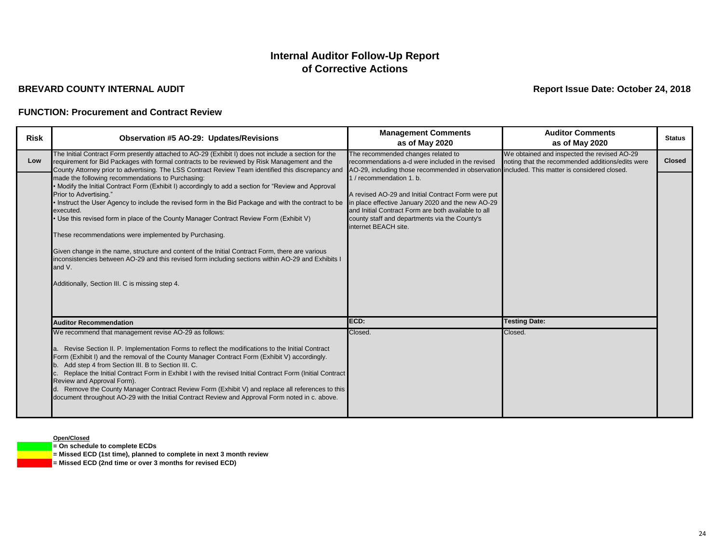#### **BREVARD COUNTY INTERNAL AUDIT**

**Report Issue Date: October 24, 2018**

#### **FUNCTION: Procurement and Contract Review**

| <b>Risk</b> | <b>Observation #5 AO-29: Updates/Revisions</b>                                                                                                                                                                                                                                                                                                                                                                                                                                                                                                                                                                                                                                                                                  | <b>Management Comments</b><br>as of May 2020                                                                                                                                                                                                                        | <b>Auditor Comments</b><br>as of May 2020                                                       | <b>Status</b> |
|-------------|---------------------------------------------------------------------------------------------------------------------------------------------------------------------------------------------------------------------------------------------------------------------------------------------------------------------------------------------------------------------------------------------------------------------------------------------------------------------------------------------------------------------------------------------------------------------------------------------------------------------------------------------------------------------------------------------------------------------------------|---------------------------------------------------------------------------------------------------------------------------------------------------------------------------------------------------------------------------------------------------------------------|-------------------------------------------------------------------------------------------------|---------------|
| Low         | The Initial Contract Form presently attached to AO-29 (Exhibit I) does not include a section for the<br>requirement for Bid Packages with formal contracts to be reviewed by Risk Management and the<br>County Attorney prior to advertising. The LSS Contract Review Team identified this discrepancy and                                                                                                                                                                                                                                                                                                                                                                                                                      | The recommended changes related to<br>recommendations a-d were included in the revised<br>AO-29, including those recommended in observation included. This matter is considered closed.                                                                             | We obtained and inspected the revised AO-29<br>noting that the recommended additions/edits were | <b>Closed</b> |
|             | made the following recommendations to Purchasing:<br>• Modify the Initial Contract Form (Exhibit I) accordingly to add a section for "Review and Approval<br>Prior to Advertising."<br>Instruct the User Agency to include the revised form in the Bid Package and with the contract to be<br>executed.<br>Use this revised form in place of the County Manager Contract Review Form (Exhibit V)<br>These recommendations were implemented by Purchasing.<br>Given change in the name, structure and content of the Initial Contract Form, there are various<br>inconsistencies between AO-29 and this revised form including sections within AO-29 and Exhibits I<br>and V.<br>Additionally, Section III. C is missing step 4. | 1 / recommendation 1. b.<br>A revised AO-29 and Initial Contract Form were put<br>in place effective January 2020 and the new AO-29<br>and Initial Contract Form are both available to all<br>county staff and departments via the County's<br>internet BEACH site. |                                                                                                 |               |
|             | <b>Auditor Recommendation</b>                                                                                                                                                                                                                                                                                                                                                                                                                                                                                                                                                                                                                                                                                                   | ECD:                                                                                                                                                                                                                                                                | <b>Testing Date:</b>                                                                            |               |
|             | We recommend that management revise AO-29 as follows:<br>a. Revise Section II. P. Implementation Forms to reflect the modifications to the Initial Contract<br>Form (Exhibit I) and the removal of the County Manager Contract Form (Exhibit V) accordingly.<br>b. Add step 4 from Section III. B to Section III. C.<br>c. Replace the Initial Contract Form in Exhibit I with the revised Initial Contract Form (Initial Contract<br>Review and Approval Form).<br>d. Remove the County Manager Contract Review Form (Exhibit V) and replace all references to this<br>document throughout AO-29 with the Initial Contract Review and Approval Form noted in c. above.                                                         | Closed.                                                                                                                                                                                                                                                             | Closed.                                                                                         |               |

#### **Open/Closed**

**= On schedule to complete ECDs**

**= Missed ECD (1st time), planned to complete in next 3 month review**

**= Missed ECD (2nd time or over 3 months for revised ECD)**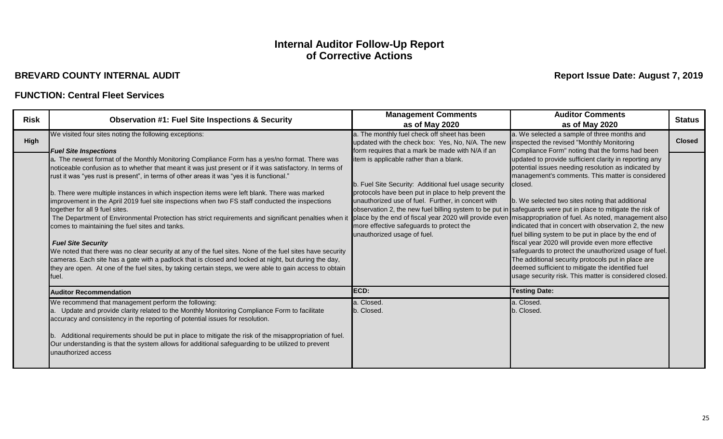### **BREVARD COUNTY INTERNAL AUDIT**

#### **FUNCTION: Central Fleet Services**

**Report Issue Date: August 7, 2019**

| Risk | <b>Observation #1: Fuel Site Inspections &amp; Security</b>                                                                                                                                                                                                                                                                                                                                                                                                                                                                                                                                                                                                                                                                                                                                                                                                                                                                                                                                                                                                                | <b>Management Comments</b>                                                                                                                                                                                                                                                                                                                                                                                | <b>Auditor Comments</b>                                                                                                                                                                                                                                                                                                                                                                                                                                                                                                                                                                                                                                                                                                                           | <b>Status</b> |
|------|----------------------------------------------------------------------------------------------------------------------------------------------------------------------------------------------------------------------------------------------------------------------------------------------------------------------------------------------------------------------------------------------------------------------------------------------------------------------------------------------------------------------------------------------------------------------------------------------------------------------------------------------------------------------------------------------------------------------------------------------------------------------------------------------------------------------------------------------------------------------------------------------------------------------------------------------------------------------------------------------------------------------------------------------------------------------------|-----------------------------------------------------------------------------------------------------------------------------------------------------------------------------------------------------------------------------------------------------------------------------------------------------------------------------------------------------------------------------------------------------------|---------------------------------------------------------------------------------------------------------------------------------------------------------------------------------------------------------------------------------------------------------------------------------------------------------------------------------------------------------------------------------------------------------------------------------------------------------------------------------------------------------------------------------------------------------------------------------------------------------------------------------------------------------------------------------------------------------------------------------------------------|---------------|
|      |                                                                                                                                                                                                                                                                                                                                                                                                                                                                                                                                                                                                                                                                                                                                                                                                                                                                                                                                                                                                                                                                            | as of May 2020                                                                                                                                                                                                                                                                                                                                                                                            | as of May 2020                                                                                                                                                                                                                                                                                                                                                                                                                                                                                                                                                                                                                                                                                                                                    |               |
| High | We visited four sites noting the following exceptions:<br><b>Fuel Site Inspections</b>                                                                                                                                                                                                                                                                                                                                                                                                                                                                                                                                                                                                                                                                                                                                                                                                                                                                                                                                                                                     | a. The monthly fuel check off sheet has been<br>updated with the check box: Yes, No, N/A. The new<br>form requires that a mark be made with N/A if an                                                                                                                                                                                                                                                     | a. We selected a sample of three months and<br>inspected the revised "Monthly Monitoring<br>Compliance Form" noting that the forms had been                                                                                                                                                                                                                                                                                                                                                                                                                                                                                                                                                                                                       | <b>Closed</b> |
|      | a. The newest format of the Monthly Monitoring Compliance Form has a yes/no format. There was<br>noticeable confusion as to whether that meant it was just present or if it was satisfactory. In terms of<br>rust it was "yes rust is present", in terms of other areas it was "yes it is functional."<br>b. There were multiple instances in which inspection items were left blank. There was marked<br>improvement in the April 2019 fuel site inspections when two FS staff conducted the inspections<br>together for all 9 fuel sites.<br>The Department of Environmental Protection has strict requirements and significant penalties when it<br>comes to maintaining the fuel sites and tanks.<br><b>Fuel Site Security</b><br>We noted that there was no clear security at any of the fuel sites. None of the fuel sites have security<br>cameras. Each site has a gate with a padlock that is closed and locked at night, but during the day,<br>they are open. At one of the fuel sites, by taking certain steps, we were able to gain access to obtain<br>fuel. | item is applicable rather than a blank.<br>b. Fuel Site Security: Additional fuel usage security<br>protocols have been put in place to help prevent the<br>unauthorized use of fuel. Further, in concert with<br>observation 2, the new fuel billing system to be put in safeguards were put in place to mitigate the risk of<br>more effective safeguards to protect the<br>unauthorized usage of fuel. | updated to provide sufficient clarity in reporting any<br>potential issues needing resolution as indicated by<br>management's comments. This matter is considered<br>closed.<br>b. We selected two sites noting that additional<br>place by the end of fiscal year 2020 will provide even misappropriation of fuel. As noted, management also<br>indicated that in concert with observation 2, the new<br>fuel billing system to be put in place by the end of<br>fiscal year 2020 will provide even more effective<br>safeguards to protect the unauthorized usage of fuel.<br>The additional security protocols put in place are<br>deemed sufficient to mitigate the identified fuel<br>usage security risk. This matter is considered closed. |               |
|      | <b>Auditor Recommendation</b>                                                                                                                                                                                                                                                                                                                                                                                                                                                                                                                                                                                                                                                                                                                                                                                                                                                                                                                                                                                                                                              | ECD:                                                                                                                                                                                                                                                                                                                                                                                                      | <b>Testing Date:</b>                                                                                                                                                                                                                                                                                                                                                                                                                                                                                                                                                                                                                                                                                                                              |               |
|      | We recommend that management perform the following:<br>Update and provide clarity related to the Monthly Monitoring Compliance Form to facilitate<br>accuracy and consistency in the reporting of potential issues for resolution.<br>Additional requirements should be put in place to mitigate the risk of the misappropriation of fuel.<br>Our understanding is that the system allows for additional safeguarding to be utilized to prevent<br>unauthorized access                                                                                                                                                                                                                                                                                                                                                                                                                                                                                                                                                                                                     | a. Closed.<br>b. Closed.                                                                                                                                                                                                                                                                                                                                                                                  | a. Closed.<br>b. Closed.                                                                                                                                                                                                                                                                                                                                                                                                                                                                                                                                                                                                                                                                                                                          |               |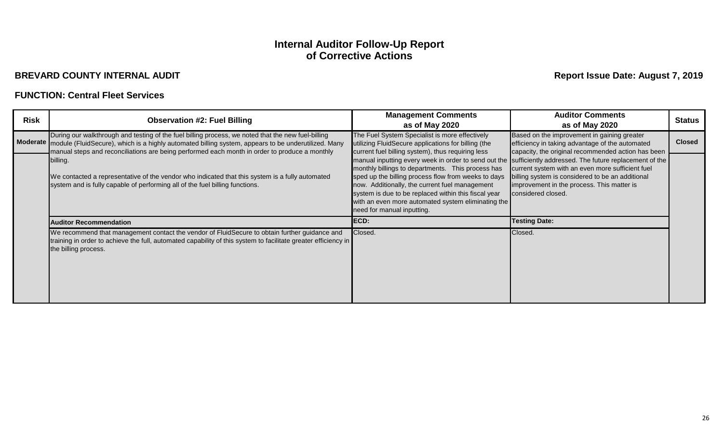### **BREVARD COUNTY INTERNAL AUDIT**

#### **FUNCTION: Central Fleet Services**

**Report Issue Date: August 7, 2019**

| <b>Risk</b> | <b>Observation #2: Fuel Billing</b>                                                                                                                                                                                                                                                                                   | <b>Management Comments</b><br>as of May 2020                                                                                                                                                                                                      | <b>Auditor Comments</b><br>as of May 2020                                                                                                                      | <b>Status</b> |
|-------------|-----------------------------------------------------------------------------------------------------------------------------------------------------------------------------------------------------------------------------------------------------------------------------------------------------------------------|---------------------------------------------------------------------------------------------------------------------------------------------------------------------------------------------------------------------------------------------------|----------------------------------------------------------------------------------------------------------------------------------------------------------------|---------------|
|             | During our walkthrough and testing of the fuel billing process, we noted that the new fuel-billing<br>Moderate   module (FluidSecure), which is a highly automated billing system, appears to be underutilized. Many<br>manual steps and reconciliations are being performed each month in order to produce a monthly | The Fuel System Specialist is more effectively<br>utilizing FluidSecure applications for billing (the<br>current fuel billing system), thus requiring less                                                                                        | Based on the improvement in gaining greater<br>efficiency in taking advantage of the automated<br>capacity, the original recommended action has been           | <b>Closed</b> |
|             | billing.                                                                                                                                                                                                                                                                                                              | monthly billings to departments. This process has                                                                                                                                                                                                 | manual inputting every week in order to send out the sufficiently addressed. The future replacement of the<br>current system with an even more sufficient fuel |               |
|             | We contacted a representative of the vendor who indicated that this system is a fully automated<br>system and is fully capable of performing all of the fuel billing functions.                                                                                                                                       | sped up the billing process flow from weeks to days<br>now. Additionally, the current fuel management<br>system is due to be replaced within this fiscal year<br>with an even more automated system eliminating the<br>need for manual inputting. | billing system is considered to be an additional<br>improvement in the process. This matter is<br>considered closed.                                           |               |
|             | <b>Auditor Recommendation</b>                                                                                                                                                                                                                                                                                         | ECD:                                                                                                                                                                                                                                              | <b>Testing Date:</b>                                                                                                                                           |               |
|             | We recommend that management contact the vendor of FluidSecure to obtain further guidance and<br>training in order to achieve the full, automated capability of this system to facilitate greater efficiency in<br>the billing process.                                                                               | Closed.                                                                                                                                                                                                                                           | Closed.                                                                                                                                                        |               |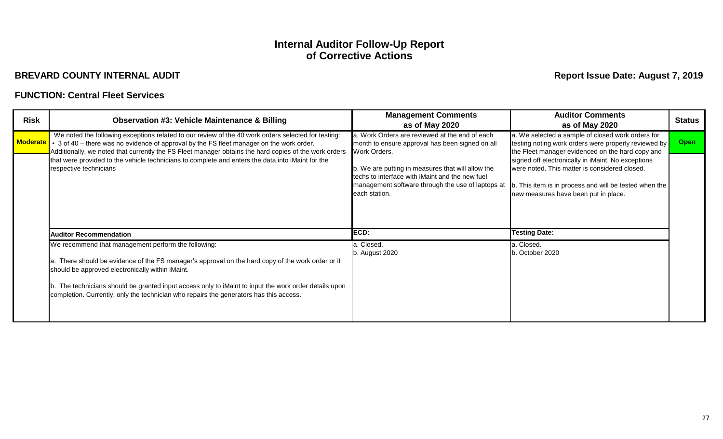### **BREVARD COUNTY INTERNAL AUDIT**

# **Report Issue Date: August 7, 2019**

#### **FUNCTION: Central Fleet Services**

| <b>Risk</b> | <b>Observation #3: Vehicle Maintenance &amp; Billing</b>                                                                                                                                                                                                                                                                                                                                                     | <b>Management Comments</b><br>as of May 2020                                                                                                                               | <b>Auditor Comments</b><br>as of May 2020                                                                                                                                                             | <b>Status</b> |
|-------------|--------------------------------------------------------------------------------------------------------------------------------------------------------------------------------------------------------------------------------------------------------------------------------------------------------------------------------------------------------------------------------------------------------------|----------------------------------------------------------------------------------------------------------------------------------------------------------------------------|-------------------------------------------------------------------------------------------------------------------------------------------------------------------------------------------------------|---------------|
|             | We noted the following exceptions related to our review of the 40 work orders selected for testing:<br>Moderate • 3 of 40 – there was no evidence of approval by the FS fleet manager on the work order.<br>Additionally, we noted that currently the FS Fleet manager obtains the hard copies of the work orders                                                                                            | a. Work Orders are reviewed at the end of each<br>month to ensure approval has been signed on all<br>Work Orders.                                                          | a. We selected a sample of closed work orders for<br>testing noting work orders were properly reviewed by<br>the Fleet manager evidenced on the hard copy and                                         | <b>Open</b>   |
|             | that were provided to the vehicle technicians to complete and enters the data into iMaint for the<br>respective technicians                                                                                                                                                                                                                                                                                  | b. We are putting in measures that will allow the<br>techs to interface with iMaint and the new fuel<br>management software through the use of laptops at<br>each station. | signed off electronically in iMaint. No exceptions<br>were noted. This matter is considered closed.<br>b. This item is in process and will be tested when the<br>new measures have been put in place. |               |
|             | <b>Auditor Recommendation</b>                                                                                                                                                                                                                                                                                                                                                                                | ECD:                                                                                                                                                                       | <b>Testing Date:</b>                                                                                                                                                                                  |               |
|             | We recommend that management perform the following:<br>a. There should be evidence of the FS manager's approval on the hard copy of the work order or it<br>should be approved electronically within iMaint.<br>The technicians should be granted input access only to iMaint to input the work order details upon<br>completion. Currently, only the technician who repairs the generators has this access. | a. Closed.<br>b. August 2020                                                                                                                                               | a. Closed.<br>b. October 2020                                                                                                                                                                         |               |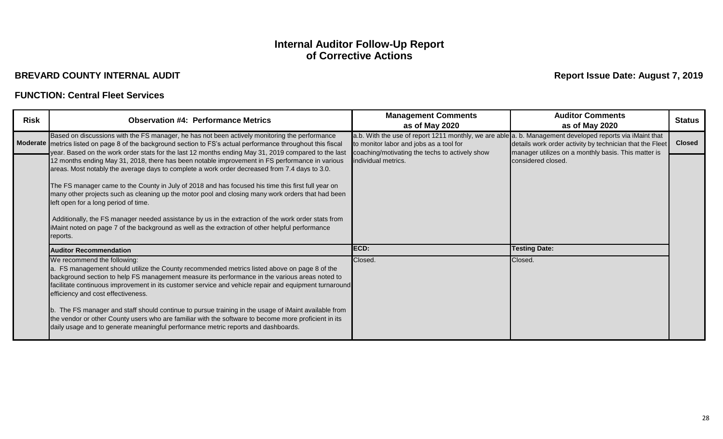### **BREVARD COUNTY INTERNAL AUDIT**

# **Report Issue Date: August 7, 2019**

#### **FUNCTION: Central Fleet Services**

| <b>Risk</b> | <b>Observation #4: Performance Metrics</b>                                                                                                                                                                                                                                                                                                                                   | <b>Management Comments</b><br>as of May 2020                                                                                                                                                          | <b>Auditor Comments</b><br>as of May 2020                                                                       | <b>Status</b> |
|-------------|------------------------------------------------------------------------------------------------------------------------------------------------------------------------------------------------------------------------------------------------------------------------------------------------------------------------------------------------------------------------------|-------------------------------------------------------------------------------------------------------------------------------------------------------------------------------------------------------|-----------------------------------------------------------------------------------------------------------------|---------------|
|             | Based on discussions with the FS manager, he has not been actively monitoring the performance<br>Moderate metrics listed on page 8 of the background section to FS's actual performance throughout this fiscal<br>year. Based on the work order stats for the last 12 months ending May 31, 2019 compared to the last                                                        | a.b. With the use of report 1211 monthly, we are able a. b. Management developed reports via iMaint that<br>to monitor labor and jobs as a tool for<br>coaching/motivating the techs to actively show | details work order activity by technician that the Fleet<br>manager utilizes on a monthly basis. This matter is | <b>Closed</b> |
|             | 12 months ending May 31, 2018, there has been notable improvement in FS performance in various<br>areas. Most notably the average days to complete a work order decreased from 7.4 days to 3.0.                                                                                                                                                                              | individual metrics.                                                                                                                                                                                   | considered closed.                                                                                              |               |
|             | The FS manager came to the County in July of 2018 and has focused his time this first full year on<br>many other projects such as cleaning up the motor pool and closing many work orders that had been<br>left open for a long period of time.                                                                                                                              |                                                                                                                                                                                                       |                                                                                                                 |               |
|             | Additionally, the FS manager needed assistance by us in the extraction of the work order stats from<br>iMaint noted on page 7 of the background as well as the extraction of other helpful performance<br>reports.                                                                                                                                                           |                                                                                                                                                                                                       |                                                                                                                 |               |
|             | <b>Auditor Recommendation</b>                                                                                                                                                                                                                                                                                                                                                | ECD:                                                                                                                                                                                                  | <b>Testing Date:</b>                                                                                            |               |
|             | We recommend the following:<br>a. FS management should utilize the County recommended metrics listed above on page 8 of the<br>background section to help FS management measure its performance in the various areas noted to<br>facilitate continuous improvement in its customer service and vehicle repair and equipment turnaround<br>efficiency and cost effectiveness. | Closed.                                                                                                                                                                                               | Closed.                                                                                                         |               |
|             | b. The FS manager and staff should continue to pursue training in the usage of iMaint available from<br>the vendor or other County users who are familiar with the software to become more proficient in its<br>daily usage and to generate meaningful performance metric reports and dashboards.                                                                            |                                                                                                                                                                                                       |                                                                                                                 |               |